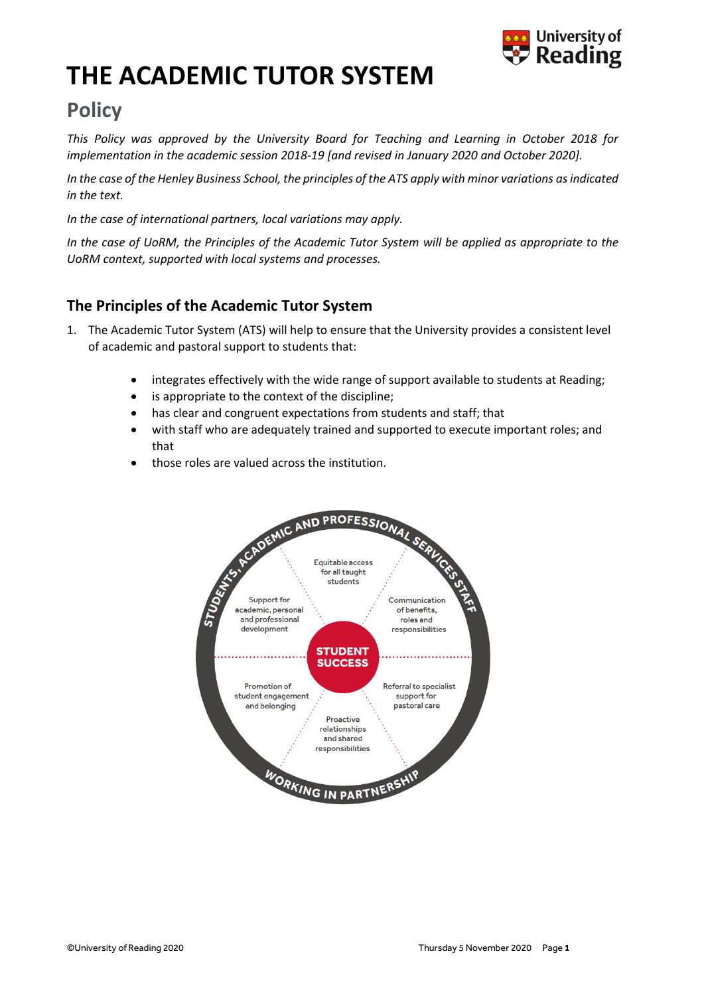

# **THE ACADEMIC TUTOR SYSTEM**

## **Policy**

*This Policy was approved by the University Board for Teaching and Learning in October 2018 for implementation in the academic session 2018-19 [and revised in January 2020 and October 2020].*

*In the case of the Henley Business School, the principles of the ATS apply with minor variations as indicated in the text.* 

*In the case of international partners, local variations may apply.*

*In the case of UoRM, the Principles of the Academic Tutor System will be applied as appropriate to the UoRM context, supported with local systems and processes.* 

## **The Principles of the Academic Tutor System**

- 1. The Academic Tutor System (ATS) will help to ensure that the University provides a consistent level of academic and pastoral support to students that:
	- integrates effectively with the wide range of support available to students at Reading;
	- is appropriate to the context of the discipline;
	- has clear and congruent expectations from students and staff; that
	- with staff who are adequately trained and supported to execute important roles; and that
	- those roles are valued across the institution.

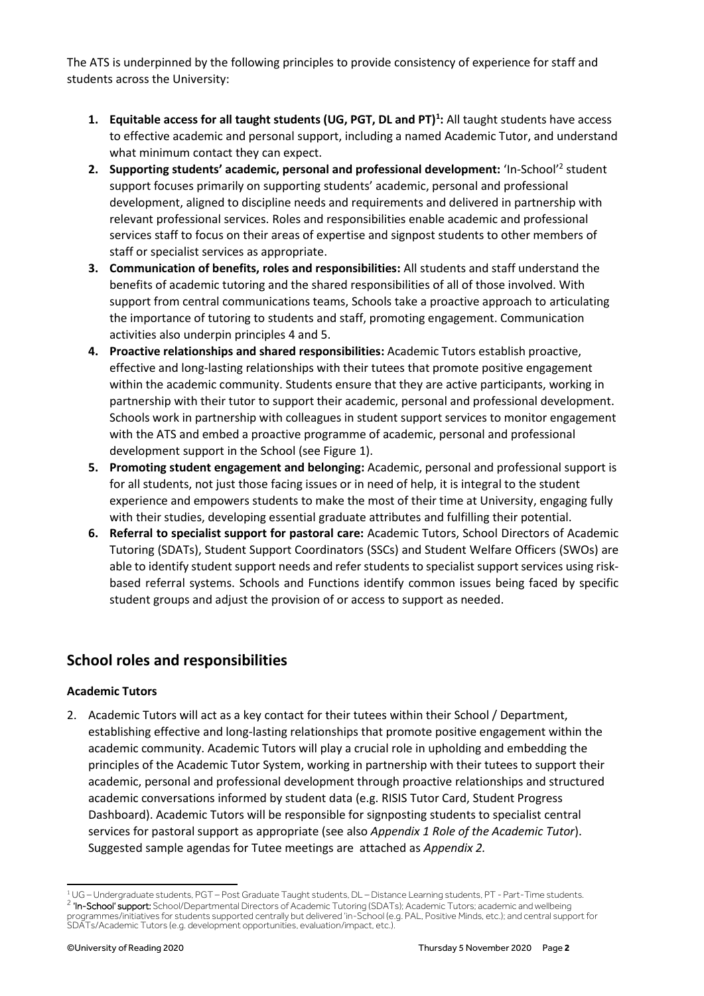The ATS is underpinned by the following principles to provide consistency of experience for staff and students across the University:

- **1. Equitable access for all taught students (UG, PGT, DL and PT)<sup>1</sup> :** All taught students have access to effective academic and personal support, including a named Academic Tutor, and understand what minimum contact they can expect.
- 2. Supporting students' academic, personal and professional development: 'In-School'<sup>2</sup> student support focuses primarily on supporting students' academic, personal and professional development, aligned to discipline needs and requirements and delivered in partnership with relevant professional services. Roles and responsibilities enable academic and professional services staff to focus on their areas of expertise and signpost students to other members of staff or specialist services as appropriate.
- **3. Communication of benefits, roles and responsibilities:** All students and staff understand the benefits of academic tutoring and the shared responsibilities of all of those involved. With support from central communications teams, Schools take a proactive approach to articulating the importance of tutoring to students and staff, promoting engagement. Communication activities also underpin principles 4 and 5.
- **4. Proactive relationships and shared responsibilities:** Academic Tutors establish proactive, effective and long-lasting relationships with their tutees that promote positive engagement within the academic community. Students ensure that they are active participants, working in partnership with their tutor to support their academic, personal and professional development. Schools work in partnership with colleagues in student support services to monitor engagement with the ATS and embed a proactive programme of academic, personal and professional development support in the School (see Figure 1).
- **5. Promoting student engagement and belonging:** Academic, personal and professional support is for all students, not just those facing issues or in need of help, it is integral to the student experience and empowers students to make the most of their time at University, engaging fully with their studies, developing essential graduate attributes and fulfilling their potential.
- **6. Referral to specialist support for pastoral care:** Academic Tutors, School Directors of Academic Tutoring (SDATs), Student Support Coordinators (SSCs) and Student Welfare Officers (SWOs) are able to identify student support needs and refer students to specialist support services using riskbased referral systems. Schools and Functions identify common issues being faced by specific student groups and adjust the provision of or access to support as needed.

## **School roles and responsibilities**

#### **Academic Tutors**

2. Academic Tutors will act as a key contact for their tutees within their School / Department, establishing effective and long-lasting relationships that promote positive engagement within the academic community. Academic Tutors will play a crucial role in upholding and embedding the principles of the Academic Tutor System, working in partnership with their tutees to support their academic, personal and professional development through proactive relationships and structured academic conversations informed by student data (e.g. RISIS Tutor Card, Student Progress Dashboard). Academic Tutors will be responsible for signposting students to specialist central services for pastoral support as appropriate (see also *Appendix 1 Role of the Academic Tutor*). Suggested sample agendas for Tutee meetings are attached as *Appendix 2.*

<sup>1</sup> UG – Undergraduate students, PGT – Post Graduate Taught students, DL – Distance Learning students, PT - Part-Time students. <sup>2</sup> 'In-School' support: School/Departmental Directors of Academic Tutoring (SDATs); Academic Tutors; academic and wellbeing programmes/initiatives for students supported centrally but delivered 'in-School (e.g. PAL, Positive Minds, etc.); and central support for SDATs/Academic Tutors (e.g. development opportunities, evaluation/impact, etc.).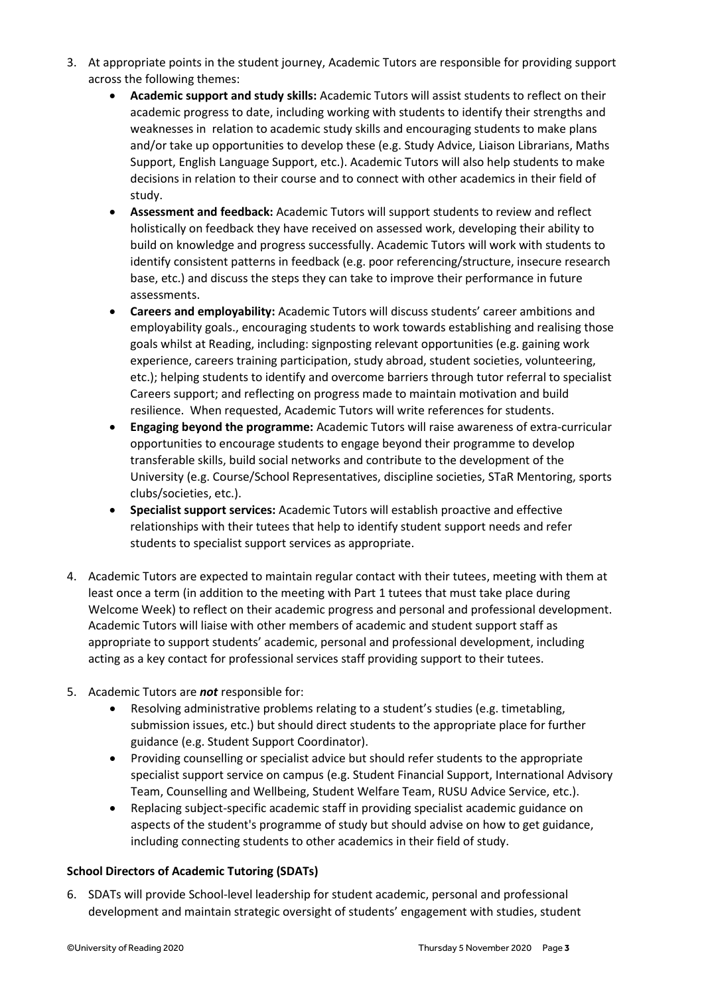- 3. At appropriate points in the student journey, Academic Tutors are responsible for providing support across the following themes:
	- **Academic support and study skills:** Academic Tutors will assist students to reflect on their academic progress to date, including working with students to identify their strengths and weaknesses in relation to academic study skills and encouraging students to make plans and/or take up opportunities to develop these (e.g. Study Advice, Liaison Librarians, Maths Support, English Language Support, etc.). Academic Tutors will also help students to make decisions in relation to their course and to connect with other academics in their field of study.
	- **Assessment and feedback:** Academic Tutors will support students to review and reflect holistically on feedback they have received on assessed work, developing their ability to build on knowledge and progress successfully. Academic Tutors will work with students to identify consistent patterns in feedback (e.g. poor referencing/structure, insecure research base, etc.) and discuss the steps they can take to improve their performance in future assessments.
	- **Careers and employability:** Academic Tutors will discuss students' career ambitions and employability goals., encouraging students to work towards establishing and realising those goals whilst at Reading, including: signposting relevant opportunities (e.g. gaining work experience, careers training participation, study abroad, student societies, volunteering, etc.); helping students to identify and overcome barriers through tutor referral to specialist Careers support; and reflecting on progress made to maintain motivation and build resilience. When requested, Academic Tutors will write references for students.
	- **Engaging beyond the programme:** Academic Tutors will raise awareness of extra-curricular opportunities to encourage students to engage beyond their programme to develop transferable skills, build social networks and contribute to the development of the University (e.g. Course/School Representatives, discipline societies, STaR Mentoring, sports clubs/societies, etc.).
	- **Specialist support services:** Academic Tutors will establish proactive and effective relationships with their tutees that help to identify student support needs and refer students to specialist support services as appropriate.
- 4. Academic Tutors are expected to maintain regular contact with their tutees, meeting with them at least once a term (in addition to the meeting with Part 1 tutees that must take place during Welcome Week) to reflect on their academic progress and personal and professional development. Academic Tutors will liaise with other members of academic and student support staff as appropriate to support students' academic, personal and professional development, including acting as a key contact for professional services staff providing support to their tutees.
- 5. Academic Tutors are *not* responsible for:
	- Resolving administrative problems relating to a student's studies (e.g. timetabling, submission issues, etc.) but should direct students to the appropriate place for further guidance (e.g. Student Support Coordinator).
	- Providing counselling or specialist advice but should refer students to the appropriate specialist support service on campus (e.g. Student Financial Support, International Advisory Team, Counselling and Wellbeing, Student Welfare Team, RUSU Advice Service, etc.).
	- Replacing subject-specific academic staff in providing specialist academic guidance on aspects of the student's programme of study but should advise on how to get guidance, including connecting students to other academics in their field of study.

#### **School Directors of Academic Tutoring (SDATs)**

6. SDATs will provide School-level leadership for student academic, personal and professional development and maintain strategic oversight of students' engagement with studies, student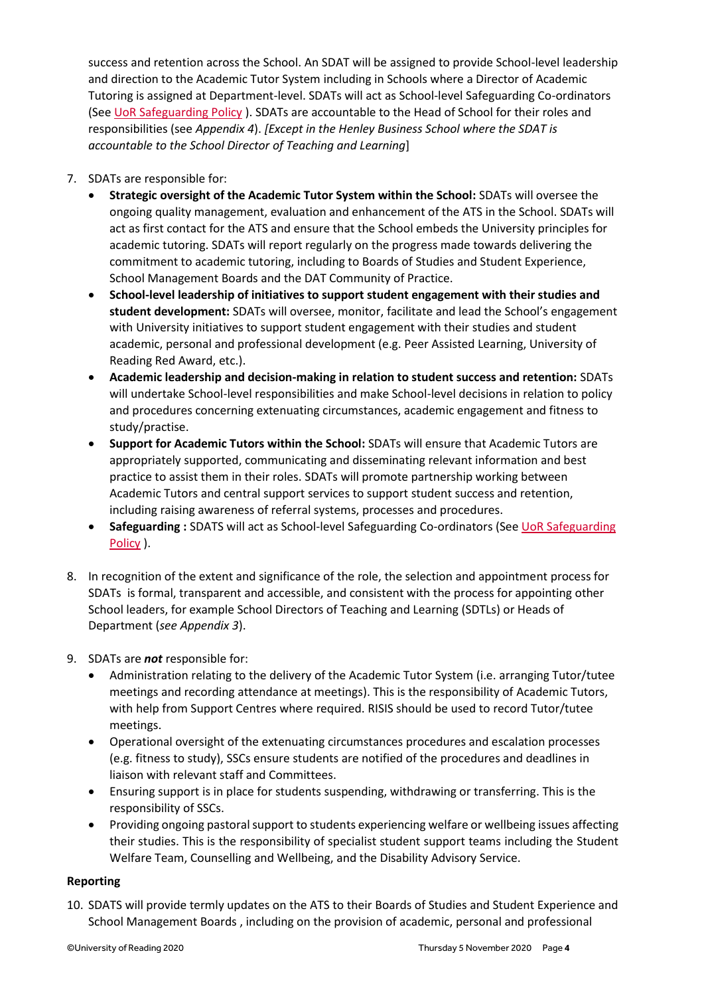success and retention across the School. An SDAT will be assigned to provide School-level leadership and direction to the Academic Tutor System including in Schools where a Director of Academic Tutoring is assigned at Department-level. SDATs will act as School-level Safeguarding Co-ordinators (Se[e UoR Safeguarding Policy](https://www.reading.ac.uk/web/files/engaging-everyone/UoR_Safeguarding_Policy_2020_-_Final_Approved.pdf) ). SDATs are accountable to the Head of School for their roles and responsibilities (see *Appendix 4*). *[Except in the Henley Business School where the SDAT is accountable to the School Director of Teaching and Learning*]

- 7. SDATs are responsible for:
	- **Strategic oversight of the Academic Tutor System within the School:** SDATs will oversee the ongoing quality management, evaluation and enhancement of the ATS in the School. SDATs will act as first contact for the ATS and ensure that the School embeds the University principles for academic tutoring. SDATs will report regularly on the progress made towards delivering the commitment to academic tutoring, including to Boards of Studies and Student Experience, School Management Boards and the DAT Community of Practice.
	- **School-level leadership of initiatives to support student engagement with their studies and student development:** SDATs will oversee, monitor, facilitate and lead the School's engagement with University initiatives to support student engagement with their studies and student academic, personal and professional development (e.g. Peer Assisted Learning, University of Reading Red Award, etc.).
	- **Academic leadership and decision-making in relation to student success and retention:** SDATs will undertake School-level responsibilities and make School-level decisions in relation to policy and procedures concerning extenuating circumstances, academic engagement and fitness to study/practise.
	- **Support for Academic Tutors within the School:** SDATs will ensure that Academic Tutors are appropriately supported, communicating and disseminating relevant information and best practice to assist them in their roles. SDATs will promote partnership working between Academic Tutors and central support services to support student success and retention, including raising awareness of referral systems, processes and procedures.
	- **Safeguarding :** SDATS will act as School-level Safeguarding Co-ordinators (See [UoR Safeguarding](https://www.reading.ac.uk/web/files/engaging-everyone/UoR_Safeguarding_Policy_2020_-_Final_Approved.pdf)  [Policy](https://www.reading.ac.uk/web/files/engaging-everyone/UoR_Safeguarding_Policy_2020_-_Final_Approved.pdf) ).
- 8. In recognition of the extent and significance of the role, the selection and appointment process for SDATs is formal, transparent and accessible, and consistent with the process for appointing other School leaders, for example School Directors of Teaching and Learning (SDTLs) or Heads of Department (*see Appendix 3*).
- 9. SDATs are *not* responsible for:
	- Administration relating to the delivery of the Academic Tutor System (i.e. arranging Tutor/tutee meetings and recording attendance at meetings). This is the responsibility of Academic Tutors, with help from Support Centres where required. RISIS should be used to record Tutor/tutee meetings.
	- Operational oversight of the extenuating circumstances procedures and escalation processes (e.g. fitness to study), SSCs ensure students are notified of the procedures and deadlines in liaison with relevant staff and Committees.
	- Ensuring support is in place for students suspending, withdrawing or transferring. This is the responsibility of SSCs.
	- Providing ongoing pastoral support to students experiencing welfare or wellbeing issues affecting their studies. This is the responsibility of specialist student support teams including the Student Welfare Team, Counselling and Wellbeing, and the Disability Advisory Service.

#### **Reporting**

10. SDATS will provide termly updates on the ATS to their Boards of Studies and Student Experience and School Management Boards , including on the provision of academic, personal and professional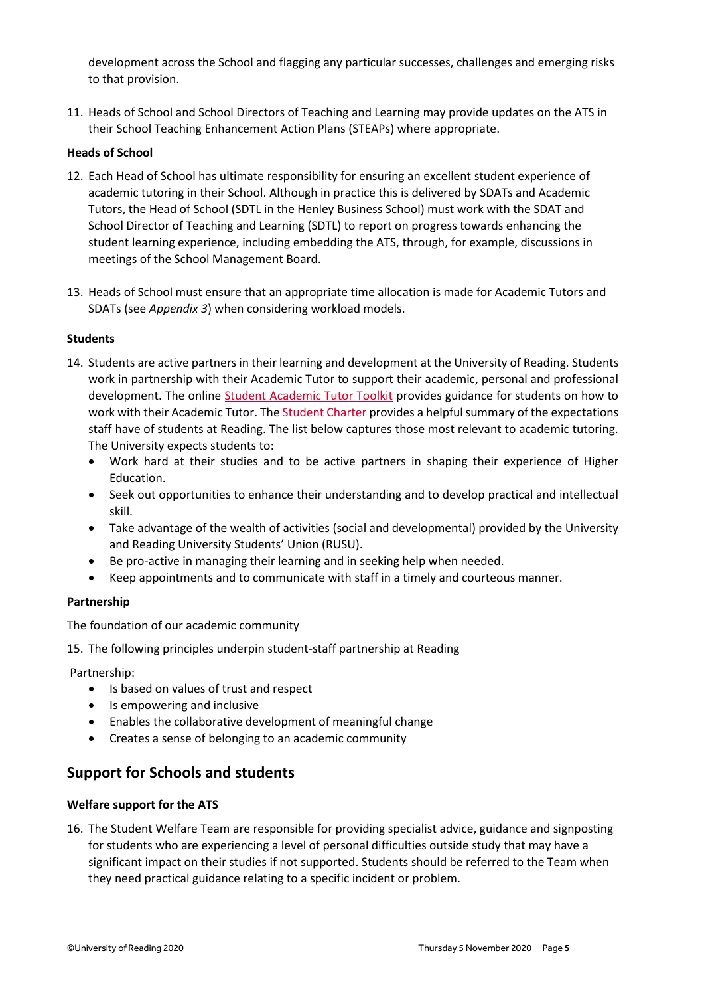development across the School and flagging any particular successes, challenges and emerging risks to that provision.

11. Heads of School and School Directors of Teaching and Learning may provide updates on the ATS in their School Teaching Enhancement Action Plans (STEAPs) where appropriate.

#### **Heads of School**

- 12. Each Head of School has ultimate responsibility for ensuring an excellent student experience of academic tutoring in their School. Although in practice this is delivered by SDATs and Academic Tutors, the Head of School (SDTL in the Henley Business School) must work with the SDAT and School Director of Teaching and Learning (SDTL) to report on progress towards enhancing the student learning experience, including embedding the ATS, through, for example, discussions in meetings of the School Management Board.
- 13. Heads of School must ensure that an appropriate time allocation is made for Academic Tutors and SDATs (see *Appendix 3*) when considering workload models.

#### **Students**

- 14. Students are active partners in their learning and development at the University of Reading. Students work in partnership with their Academic Tutor to support their academic, personal and professional development. The online [Student Academic Tutor Toolkit](http://student.reading.ac.uk/essentials/_study/academic-tutors.aspx) provides guidance for students on how to work with their Academic Tutor. The [Student Charter](https://student.reading.ac.uk/essentials/_the-important-stuff/student-charter.aspx) provides a helpful summary of the expectations staff have of students at Reading. The list below captures those most relevant to academic tutoring. The University expects students to:
	- Work hard at their studies and to be active partners in shaping their experience of Higher Education.
	- Seek out opportunities to enhance their understanding and to develop practical and intellectual skill.
	- Take advantage of the wealth of activities (social and developmental) provided by the University and Reading University Students' Union (RUSU).
	- Be pro-active in managing their learning and in seeking help when needed.
	- Keep appointments and to communicate with staff in a timely and courteous manner.

#### **Partnership**

The foundation of our academic community

15. The following principles underpin student-staff partnership at Reading

Partnership:

- Is based on values of trust and respect
- Is empowering and inclusive
- Enables the collaborative development of meaningful change
- Creates a sense of belonging to an academic community

## **Support for Schools and students**

#### **Welfare support for the ATS**

16. The Student Welfare Team are responsible for providing specialist advice, guidance and signposting for students who are experiencing a level of personal difficulties outside study that may have a significant impact on their studies if not supported. Students should be referred to the Team when they need practical guidance relating to a specific incident or problem.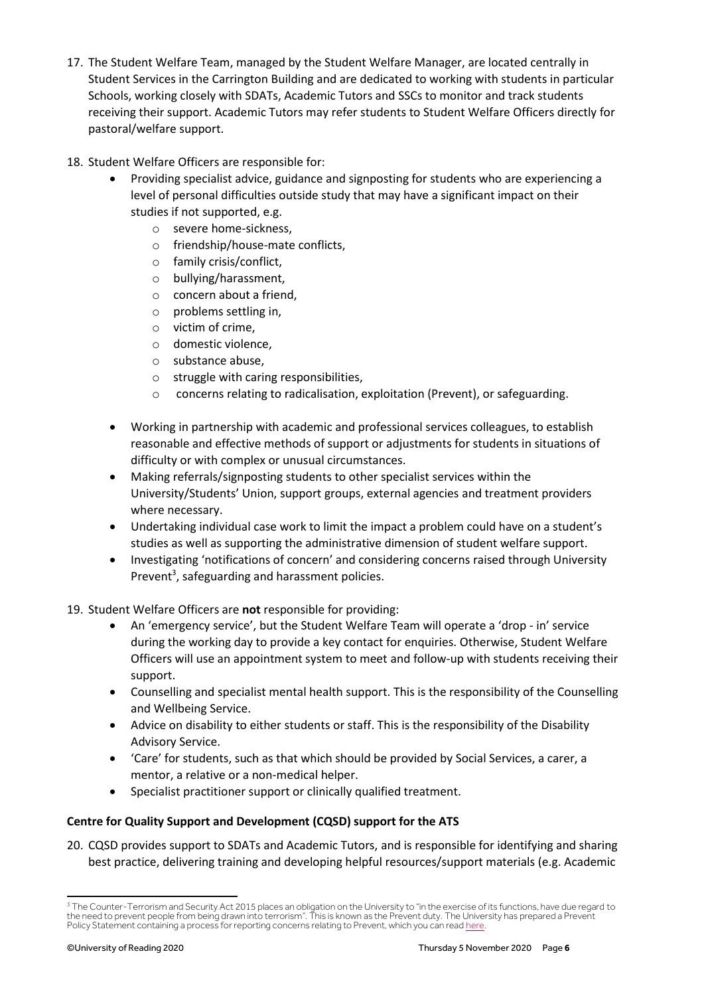- 17. The Student Welfare Team, managed by the Student Welfare Manager, are located centrally in Student Services in the Carrington Building and are dedicated to working with students in particular Schools, working closely with SDATs, Academic Tutors and SSCs to monitor and track students receiving their support. Academic Tutors may refer students to Student Welfare Officers directly for pastoral/welfare support.
- 18. Student Welfare Officers are responsible for:
	- Providing specialist advice, guidance and signposting for students who are experiencing a level of personal difficulties outside study that may have a significant impact on their studies if not supported, e.g.
		- o severe home-sickness,
		- o friendship/house-mate conflicts,
		- o family crisis/conflict,
		- o bullying/harassment,
		- o concern about a friend,
		- o problems settling in,
		- o victim of crime,
		- o domestic violence,
		- o substance abuse,
		- o struggle with caring responsibilities,
		- o concerns relating to radicalisation, exploitation (Prevent), or safeguarding.
	- Working in partnership with academic and professional services colleagues, to establish reasonable and effective methods of support or adjustments for students in situations of difficulty or with complex or unusual circumstances.
	- Making referrals/signposting students to other specialist services within the University/Students' Union, support groups, external agencies and treatment providers where necessary.
	- Undertaking individual case work to limit the impact a problem could have on a student's studies as well as supporting the administrative dimension of student welfare support.
	- Investigating 'notifications of concern' and considering concerns raised through University Prevent<sup>3</sup>, safeguarding and harassment policies.
- 19. Student Welfare Officers are **not** responsible for providing:
	- An 'emergency service', but the Student Welfare Team will operate a 'drop in' service during the working day to provide a key contact for enquiries. Otherwise, Student Welfare Officers will use an appointment system to meet and follow-up with students receiving their support.
	- Counselling and specialist mental health support. This is the responsibility of the Counselling and Wellbeing Service.
	- Advice on disability to either students or staff. This is the responsibility of the Disability Advisory Service.
	- 'Care' for students, such as that which should be provided by Social Services, a carer, a mentor, a relative or a non-medical helper.
	- Specialist practitioner support or clinically qualified treatment.

#### **Centre for Quality Support and Development (CQSD) support for the ATS**

20. CQSD provides support to SDATs and Academic Tutors, and is responsible for identifying and sharing best practice, delivering training and developing helpful resources/support materials (e.g. Academic

<sup>&</sup>lt;sup>3</sup> The Counter-Terrorism and Security Act 2015 places an obligation on the University to "in the exercise of its functions, have due regard to the need to prevent people from being drawn into terrorism". This is known as the Prevent duty. The University has prepared a Prevent Policy Statement containing a process for reporting concerns relating to Prevent, which you can rea[d here.](http://www.reading.ac.uk/web/files/office-of-the-university-secretary/UoR_Approach_to_the_Prevent_Duty.pdf)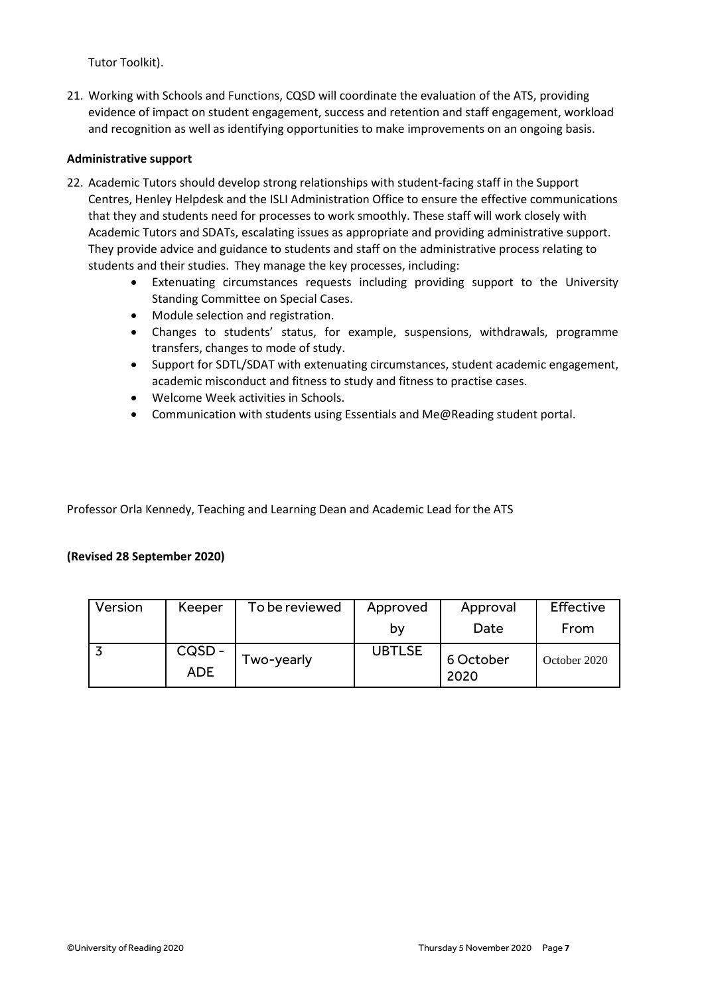Tutor Toolkit).

21. Working with Schools and Functions, CQSD will coordinate the evaluation of the ATS, providing evidence of impact on student engagement, success and retention and staff engagement, workload and recognition as well as identifying opportunities to make improvements on an ongoing basis.

#### **Administrative support**

- 22. Academic Tutors should develop strong relationships with student-facing staff in the Support Centres, Henley Helpdesk and the ISLI Administration Office to ensure the effective communications that they and students need for processes to work smoothly. These staff will work closely with Academic Tutors and SDATs, escalating issues as appropriate and providing administrative support. They provide advice and guidance to students and staff on the administrative process relating to students and their studies. They manage the key processes, including:
	- Extenuating circumstances requests including providing support to the University Standing Committee on Special Cases.
	- Module selection and registration.
	- Changes to students' status, for example, suspensions, withdrawals, programme transfers, changes to mode of study.
	- Support for SDTL/SDAT with extenuating circumstances, student academic engagement, academic misconduct and fitness to study and fitness to practise cases.
	- Welcome Week activities in Schools.
	- Communication with students using Essentials and Me@Reading student portal.

Professor Orla Kennedy, Teaching and Learning Dean and Academic Lead for the ATS

#### **(Revised 28 September 2020)**

| Version | Keeper              | To be reviewed | Approved      | Approval          | Effective    |
|---------|---------------------|----------------|---------------|-------------------|--------------|
|         |                     |                | b٧            | Date              | From         |
|         | CQSD-<br><b>ADE</b> | Two-yearly     | <b>UBTLSE</b> | 6 October<br>2020 | October 2020 |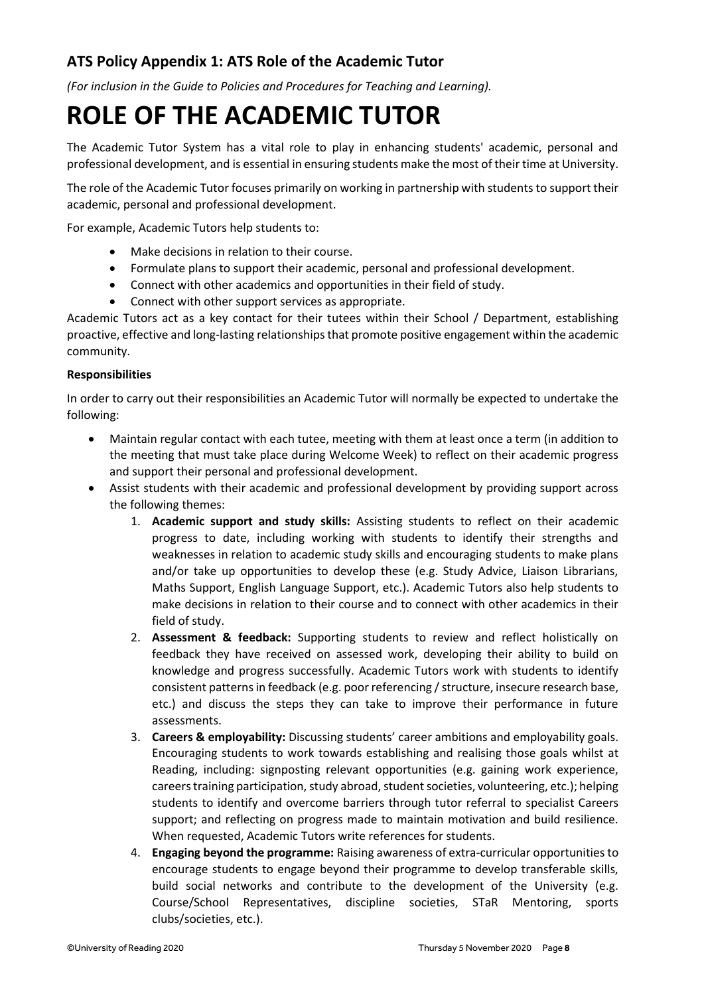## **ATS Policy Appendix 1: ATS Role of the Academic Tutor**

*(For inclusion in the Guide to Policies and Procedures for Teaching and Learning).*

# **ROLE OF THE ACADEMIC TUTOR**

The Academic Tutor System has a vital role to play in enhancing students' academic, personal and professional development, and is essential in ensuring students make the most of their time at University.

The role of the Academic Tutor focuses primarily on working in partnership with students to support their academic, personal and professional development.

For example, Academic Tutors help students to:

- Make decisions in relation to their course.
- Formulate plans to support their academic, personal and professional development.
- Connect with other academics and opportunities in their field of study.
- Connect with other support services as appropriate.

Academic Tutors act as a key contact for their tutees within their School / Department, establishing proactive, effective and long-lasting relationships that promote positive engagement within the academic community.

#### **Responsibilities**

In order to carry out their responsibilities an Academic Tutor will normally be expected to undertake the following:

- Maintain regular contact with each tutee, meeting with them at least once a term (in addition to the meeting that must take place during Welcome Week) to reflect on their academic progress and support their personal and professional development.
- Assist students with their academic and professional development by providing support across the following themes:
	- 1. **Academic support and study skills:** Assisting students to reflect on their academic progress to date, including working with students to identify their strengths and weaknesses in relation to academic study skills and encouraging students to make plans and/or take up opportunities to develop these (e.g. Study Advice, Liaison Librarians, Maths Support, English Language Support, etc.). Academic Tutors also help students to make decisions in relation to their course and to connect with other academics in their field of study.
	- 2. **Assessment & feedback:** Supporting students to review and reflect holistically on feedback they have received on assessed work, developing their ability to build on knowledge and progress successfully. Academic Tutors work with students to identify consistent patterns in feedback (e.g. poor referencing / structure, insecure research base, etc.) and discuss the steps they can take to improve their performance in future assessments.
	- 3. **Careers & employability:** Discussing students' career ambitions and employability goals. Encouraging students to work towards establishing and realising those goals whilst at Reading, including: signposting relevant opportunities (e.g. gaining work experience, careers training participation, study abroad, student societies, volunteering, etc.); helping students to identify and overcome barriers through tutor referral to specialist Careers support; and reflecting on progress made to maintain motivation and build resilience. When requested, Academic Tutors write references for students.
	- 4. **Engaging beyond the programme:** Raising awareness of extra-curricular opportunities to encourage students to engage beyond their programme to develop transferable skills, build social networks and contribute to the development of the University (e.g. Course/School Representatives, discipline societies, STaR Mentoring, sports clubs/societies, etc.).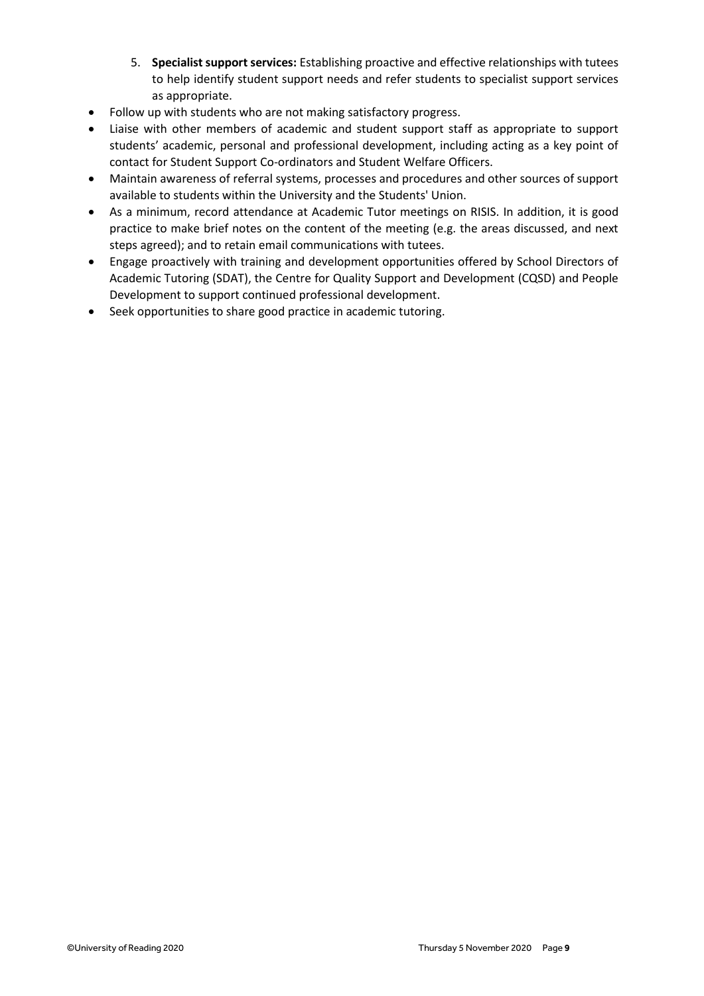- 5. **Specialist support services:** Establishing proactive and effective relationships with tutees to help identify student support needs and refer students to specialist support services as appropriate.
- Follow up with students who are not making satisfactory progress.
- Liaise with other members of academic and student support staff as appropriate to support students' academic, personal and professional development, including acting as a key point of contact for Student Support Co-ordinators and Student Welfare Officers.
- Maintain awareness of referral systems, processes and procedures and other sources of support available to students within the University and the Students' Union.
- As a minimum, record attendance at Academic Tutor meetings on RISIS. In addition, it is good practice to make brief notes on the content of the meeting (e.g. the areas discussed, and next steps agreed); and to retain email communications with tutees.
- Engage proactively with training and development opportunities offered by School Directors of Academic Tutoring (SDAT), the Centre for Quality Support and Development (CQSD) and People Development to support continued professional development.
- Seek opportunities to share good practice in academic tutoring.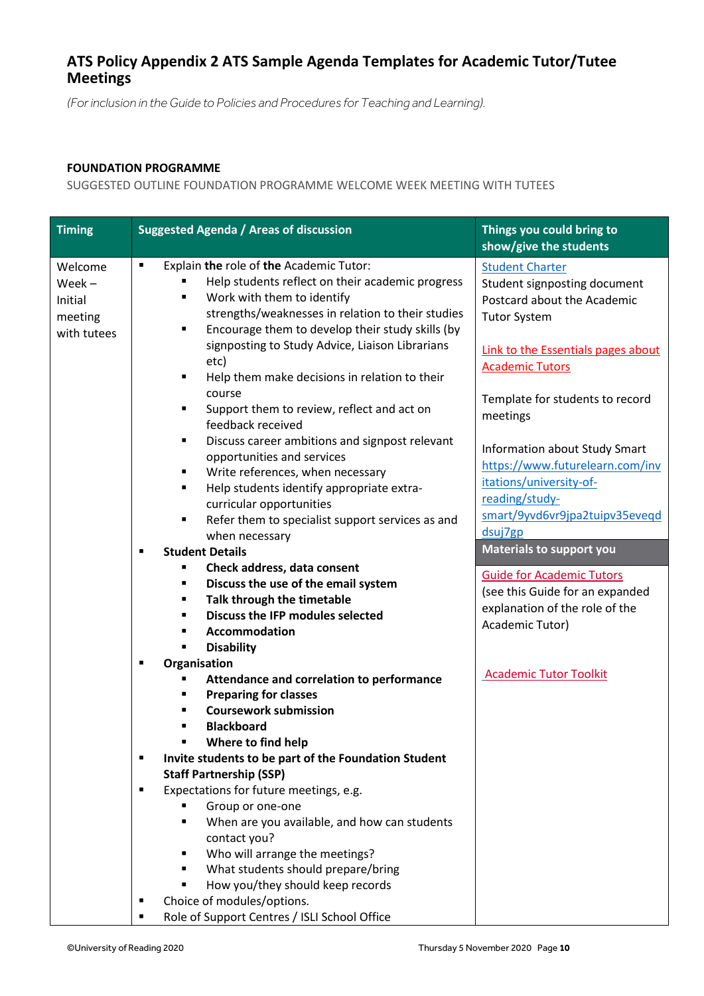## **ATS Policy Appendix 2 ATS Sample Agenda Templates for Academic Tutor/Tutee Meetings**

*(For inclusion in the Guide to Policies and Procedures for Teaching and Learning).*

#### **FOUNDATION PROGRAMME**

SUGGESTED OUTLINE FOUNDATION PROGRAMME WELCOME WEEK MEETING WITH TUTEES

| <b>Timing</b>                                            | <b>Suggested Agenda / Areas of discussion</b>                                                                                                                                                                                                                                                                                                                                                                                                                                                                                                                                                                                                                                              | Things you could bring to                                                                                                                                                                                                                                                                                                                           |
|----------------------------------------------------------|--------------------------------------------------------------------------------------------------------------------------------------------------------------------------------------------------------------------------------------------------------------------------------------------------------------------------------------------------------------------------------------------------------------------------------------------------------------------------------------------------------------------------------------------------------------------------------------------------------------------------------------------------------------------------------------------|-----------------------------------------------------------------------------------------------------------------------------------------------------------------------------------------------------------------------------------------------------------------------------------------------------------------------------------------------------|
|                                                          |                                                                                                                                                                                                                                                                                                                                                                                                                                                                                                                                                                                                                                                                                            | show/give the students                                                                                                                                                                                                                                                                                                                              |
| Welcome<br>$Week -$<br>Initial<br>meeting<br>with tutees | Explain the role of the Academic Tutor:<br>$\blacksquare$<br>Help students reflect on their academic progress<br>Work with them to identify<br>٠<br>strengths/weaknesses in relation to their studies<br>Encourage them to develop their study skills (by<br>$\blacksquare$<br>signposting to Study Advice, Liaison Librarians<br>etc)<br>Help them make decisions in relation to their<br>٠<br>course<br>Support them to review, reflect and act on<br>٠<br>feedback received<br>Discuss career ambitions and signpost relevant<br>٠<br>opportunities and services<br>Write references, when necessary<br>٠<br>Help students identify appropriate extra-<br>٠<br>curricular opportunities | <b>Student Charter</b><br>Student signposting document<br>Postcard about the Academic<br><b>Tutor System</b><br>Link to the Essentials pages about<br><b>Academic Tutors</b><br>Template for students to record<br>meetings<br><b>Information about Study Smart</b><br>https://www.futurelearn.com/inv<br>itations/university-of-<br>reading/study- |
|                                                          | Refer them to specialist support services as and<br>п                                                                                                                                                                                                                                                                                                                                                                                                                                                                                                                                                                                                                                      | smart/9yvd6vr9jpa2tuipv35eveqd                                                                                                                                                                                                                                                                                                                      |
|                                                          | when necessary                                                                                                                                                                                                                                                                                                                                                                                                                                                                                                                                                                                                                                                                             | dsuj7gp                                                                                                                                                                                                                                                                                                                                             |
|                                                          | <b>Student Details</b><br>$\blacksquare$                                                                                                                                                                                                                                                                                                                                                                                                                                                                                                                                                                                                                                                   | <b>Materials to support you</b>                                                                                                                                                                                                                                                                                                                     |
|                                                          | Check address, data consent<br>п                                                                                                                                                                                                                                                                                                                                                                                                                                                                                                                                                                                                                                                           | <b>Guide for Academic Tutors</b>                                                                                                                                                                                                                                                                                                                    |
|                                                          | Discuss the use of the email system<br>٠                                                                                                                                                                                                                                                                                                                                                                                                                                                                                                                                                                                                                                                   | (see this Guide for an expanded                                                                                                                                                                                                                                                                                                                     |
|                                                          | Talk through the timetable<br>$\blacksquare$                                                                                                                                                                                                                                                                                                                                                                                                                                                                                                                                                                                                                                               | explanation of the role of the                                                                                                                                                                                                                                                                                                                      |
|                                                          | Discuss the IFP modules selected<br>$\blacksquare$                                                                                                                                                                                                                                                                                                                                                                                                                                                                                                                                                                                                                                         | Academic Tutor)                                                                                                                                                                                                                                                                                                                                     |
|                                                          | <b>Accommodation</b><br>٠                                                                                                                                                                                                                                                                                                                                                                                                                                                                                                                                                                                                                                                                  |                                                                                                                                                                                                                                                                                                                                                     |
|                                                          | <b>Disability</b><br>п                                                                                                                                                                                                                                                                                                                                                                                                                                                                                                                                                                                                                                                                     |                                                                                                                                                                                                                                                                                                                                                     |
|                                                          | Organisation<br>٠                                                                                                                                                                                                                                                                                                                                                                                                                                                                                                                                                                                                                                                                          | <b>Academic Tutor Toolkit</b>                                                                                                                                                                                                                                                                                                                       |
|                                                          | Attendance and correlation to performance                                                                                                                                                                                                                                                                                                                                                                                                                                                                                                                                                                                                                                                  |                                                                                                                                                                                                                                                                                                                                                     |
|                                                          | <b>Preparing for classes</b>                                                                                                                                                                                                                                                                                                                                                                                                                                                                                                                                                                                                                                                               |                                                                                                                                                                                                                                                                                                                                                     |
|                                                          | <b>Coursework submission</b>                                                                                                                                                                                                                                                                                                                                                                                                                                                                                                                                                                                                                                                               |                                                                                                                                                                                                                                                                                                                                                     |
|                                                          | <b>Blackboard</b>                                                                                                                                                                                                                                                                                                                                                                                                                                                                                                                                                                                                                                                                          |                                                                                                                                                                                                                                                                                                                                                     |
|                                                          | Where to find help                                                                                                                                                                                                                                                                                                                                                                                                                                                                                                                                                                                                                                                                         |                                                                                                                                                                                                                                                                                                                                                     |
|                                                          | Invite students to be part of the Foundation Student<br>П<br><b>Staff Partnership (SSP)</b>                                                                                                                                                                                                                                                                                                                                                                                                                                                                                                                                                                                                |                                                                                                                                                                                                                                                                                                                                                     |
|                                                          | Expectations for future meetings, e.g.<br>٠                                                                                                                                                                                                                                                                                                                                                                                                                                                                                                                                                                                                                                                |                                                                                                                                                                                                                                                                                                                                                     |
|                                                          | Group or one-one                                                                                                                                                                                                                                                                                                                                                                                                                                                                                                                                                                                                                                                                           |                                                                                                                                                                                                                                                                                                                                                     |
|                                                          | When are you available, and how can students<br>٠                                                                                                                                                                                                                                                                                                                                                                                                                                                                                                                                                                                                                                          |                                                                                                                                                                                                                                                                                                                                                     |
|                                                          | contact you?                                                                                                                                                                                                                                                                                                                                                                                                                                                                                                                                                                                                                                                                               |                                                                                                                                                                                                                                                                                                                                                     |
|                                                          | Who will arrange the meetings?<br>٠                                                                                                                                                                                                                                                                                                                                                                                                                                                                                                                                                                                                                                                        |                                                                                                                                                                                                                                                                                                                                                     |
|                                                          | What students should prepare/bring<br>٠                                                                                                                                                                                                                                                                                                                                                                                                                                                                                                                                                                                                                                                    |                                                                                                                                                                                                                                                                                                                                                     |
|                                                          | How you/they should keep records                                                                                                                                                                                                                                                                                                                                                                                                                                                                                                                                                                                                                                                           |                                                                                                                                                                                                                                                                                                                                                     |
|                                                          | Choice of modules/options.<br>п                                                                                                                                                                                                                                                                                                                                                                                                                                                                                                                                                                                                                                                            |                                                                                                                                                                                                                                                                                                                                                     |
|                                                          | Role of Support Centres / ISLI School Office<br>٠                                                                                                                                                                                                                                                                                                                                                                                                                                                                                                                                                                                                                                          |                                                                                                                                                                                                                                                                                                                                                     |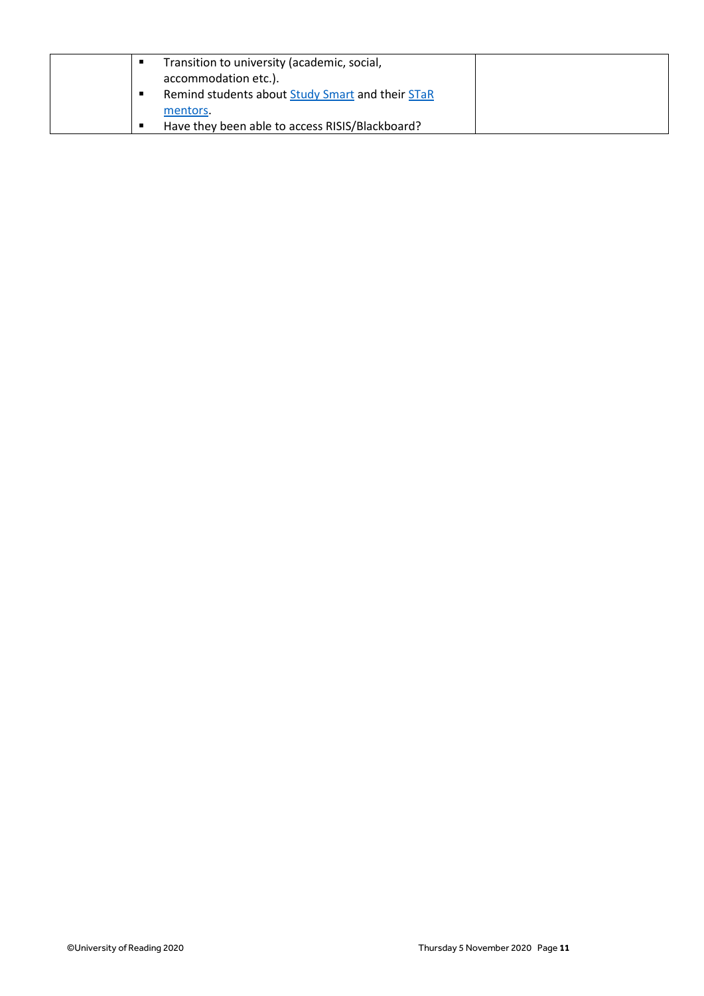|  | Transition to university (academic, social,<br>accommodation etc.). |  |
|--|---------------------------------------------------------------------|--|
|  | Remind students about Study Smart and their STaR                    |  |
|  | mentors.<br>Have they been able to access RISIS/Blackboard?         |  |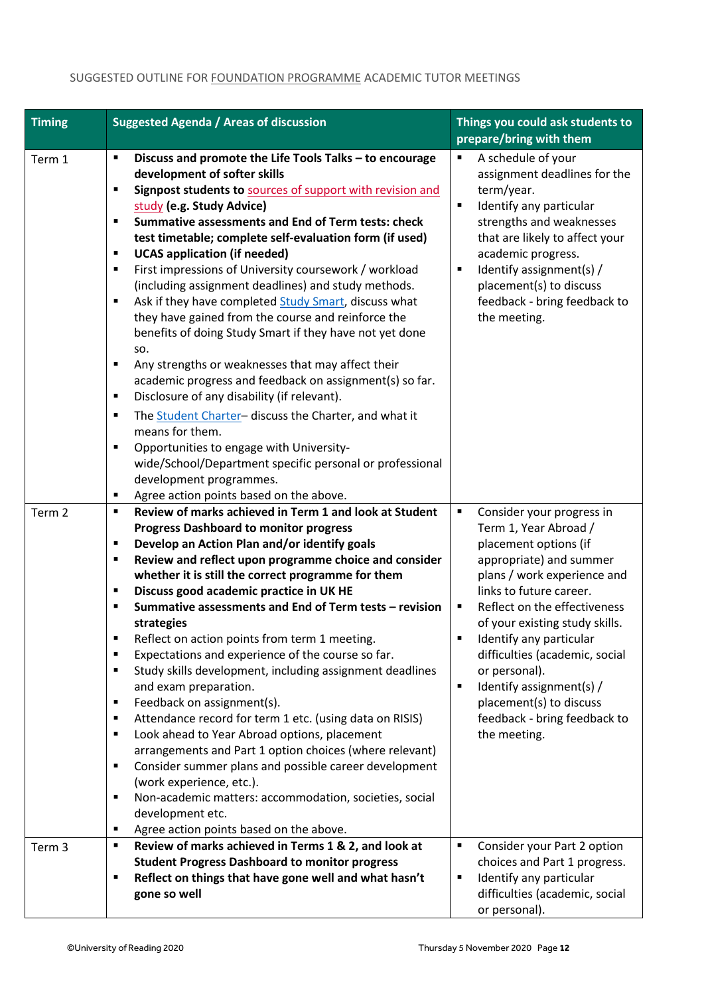| <b>Timing</b> | <b>Suggested Agenda / Areas of discussion</b>                                                                                                                                                                                                                                                                                                                                                                                                                                                                                                                                                                                                                                                                                                                                                                                                                                                                                                                                                                                                                                                                             | Things you could ask students to<br>prepare/bring with them                                                                                                                                                                                                                                                                                                                                                                            |  |
|---------------|---------------------------------------------------------------------------------------------------------------------------------------------------------------------------------------------------------------------------------------------------------------------------------------------------------------------------------------------------------------------------------------------------------------------------------------------------------------------------------------------------------------------------------------------------------------------------------------------------------------------------------------------------------------------------------------------------------------------------------------------------------------------------------------------------------------------------------------------------------------------------------------------------------------------------------------------------------------------------------------------------------------------------------------------------------------------------------------------------------------------------|----------------------------------------------------------------------------------------------------------------------------------------------------------------------------------------------------------------------------------------------------------------------------------------------------------------------------------------------------------------------------------------------------------------------------------------|--|
| Term 1        | Discuss and promote the Life Tools Talks - to encourage<br>٠<br>development of softer skills<br>Signpost students to sources of support with revision and<br>٠<br>study (e.g. Study Advice)<br>Summative assessments and End of Term tests: check<br>П<br>test timetable; complete self-evaluation form (if used)<br><b>UCAS</b> application (if needed)<br>٠<br>First impressions of University coursework / workload<br>٠<br>(including assignment deadlines) and study methods.<br>Ask if they have completed Study Smart, discuss what<br>٠<br>they have gained from the course and reinforce the<br>benefits of doing Study Smart if they have not yet done<br>SO.<br>Any strengths or weaknesses that may affect their<br>٠<br>academic progress and feedback on assignment(s) so far.<br>Disclosure of any disability (if relevant).<br>٠<br>The Student Charter- discuss the Charter, and what it<br>٠<br>means for them.<br>Opportunities to engage with University-<br>٠<br>wide/School/Department specific personal or professional<br>development programmes.<br>Agree action points based on the above.<br>٠ | A schedule of your<br>٠<br>assignment deadlines for the<br>term/year.<br>Identify any particular<br>Е<br>strengths and weaknesses<br>that are likely to affect your<br>academic progress.<br>Identify assignment(s) /<br>п<br>placement(s) to discuss<br>feedback - bring feedback to<br>the meeting.                                                                                                                                  |  |
| Term 2        | Review of marks achieved in Term 1 and look at Student<br>٠<br><b>Progress Dashboard to monitor progress</b><br>Develop an Action Plan and/or identify goals<br>٠<br>Review and reflect upon programme choice and consider<br>٠<br>whether it is still the correct programme for them<br>Discuss good academic practice in UK HE<br>٠<br>Summative assessments and End of Term tests - revision<br>٠<br>strategies<br>Reflect on action points from term 1 meeting.<br>Expectations and experience of the course so far.<br>Е<br>Study skills development, including assignment deadlines<br>٠<br>and exam preparation.<br>Feedback on assignment(s).<br>٠<br>Attendance record for term 1 etc. (using data on RISIS)<br>٠<br>Look ahead to Year Abroad options, placement<br>٠<br>arrangements and Part 1 option choices (where relevant)<br>Consider summer plans and possible career development<br>٠<br>(work experience, etc.).<br>Non-academic matters: accommodation, societies, social<br>٠<br>development etc.<br>Agree action points based on the above.<br>٠                                                   | Consider your progress in<br>٠<br>Term 1, Year Abroad /<br>placement options (if<br>appropriate) and summer<br>plans / work experience and<br>links to future career.<br>Reflect on the effectiveness<br>٠<br>of your existing study skills.<br>Identify any particular<br>difficulties (academic, social<br>or personal).<br>Identify assignment(s) /<br>П<br>placement(s) to discuss<br>feedback - bring feedback to<br>the meeting. |  |
| Term 3        | Review of marks achieved in Terms 1 & 2, and look at<br>٠<br><b>Student Progress Dashboard to monitor progress</b><br>Reflect on things that have gone well and what hasn't<br>٠<br>gone so well                                                                                                                                                                                                                                                                                                                                                                                                                                                                                                                                                                                                                                                                                                                                                                                                                                                                                                                          | Ξ<br>Consider your Part 2 option<br>choices and Part 1 progress.<br>Identify any particular<br>٠<br>difficulties (academic, social<br>or personal).                                                                                                                                                                                                                                                                                    |  |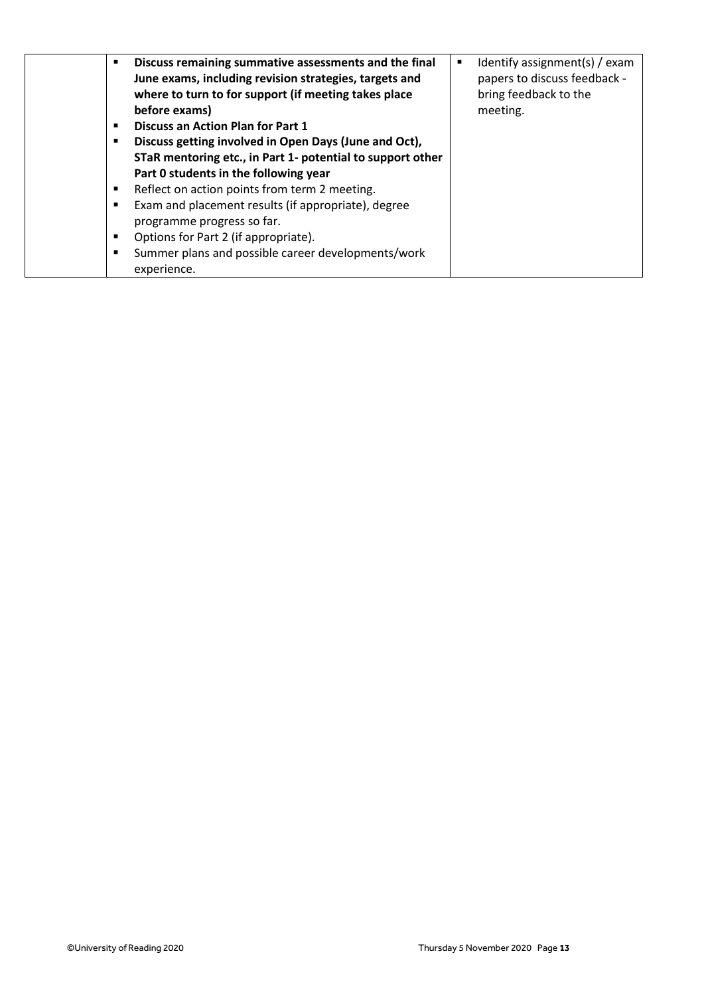| ٠<br>٠<br>٠ | Discuss remaining summative assessments and the final<br>June exams, including revision strategies, targets and<br>where to turn to for support (if meeting takes place<br>before exams)<br><b>Discuss an Action Plan for Part 1</b><br>Discuss getting involved in Open Days (June and Oct),<br>STaR mentoring etc., in Part 1- potential to support other<br>Part 0 students in the following year | Identify assignment(s) / exam<br>٠<br>papers to discuss feedback -<br>bring feedback to the<br>meeting. |
|-------------|------------------------------------------------------------------------------------------------------------------------------------------------------------------------------------------------------------------------------------------------------------------------------------------------------------------------------------------------------------------------------------------------------|---------------------------------------------------------------------------------------------------------|
| ٠           | Reflect on action points from term 2 meeting.                                                                                                                                                                                                                                                                                                                                                        |                                                                                                         |
| ٠           | Exam and placement results (if appropriate), degree<br>programme progress so far.                                                                                                                                                                                                                                                                                                                    |                                                                                                         |
| ٠           | Options for Part 2 (if appropriate).                                                                                                                                                                                                                                                                                                                                                                 |                                                                                                         |
| ٠           | Summer plans and possible career developments/work<br>experience.                                                                                                                                                                                                                                                                                                                                    |                                                                                                         |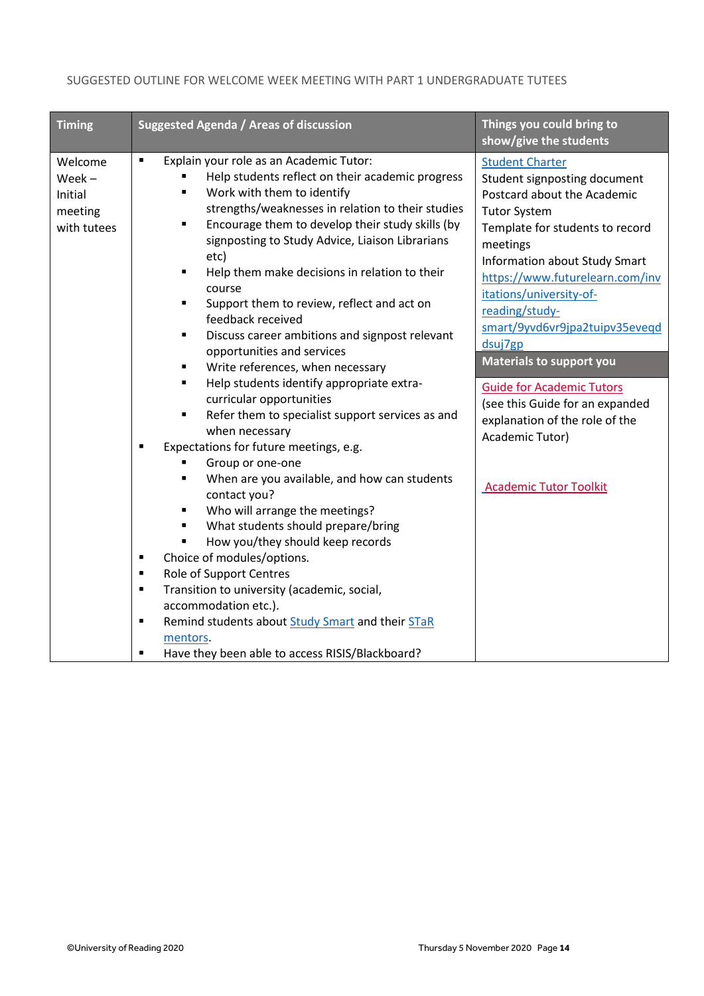#### SUGGESTED OUTLINE FOR WELCOME WEEK MEETING WITH PART 1 UNDERGRADUATE TUTEES

| <b>Timing</b>                                            | <b>Suggested Agenda / Areas of discussion</b>                                                                                                                                                                                                                                                                                                                                                                                                                                                                                                                                                                                                                                                                                                                                                                                                                                                                                                                                                                                                                                                                                                                                                                                                                                                                                                                                                                                             | Things you could bring to<br>show/give the students                                                                                                                                                                                                                                                                                                                                                                                                                                                                              |
|----------------------------------------------------------|-------------------------------------------------------------------------------------------------------------------------------------------------------------------------------------------------------------------------------------------------------------------------------------------------------------------------------------------------------------------------------------------------------------------------------------------------------------------------------------------------------------------------------------------------------------------------------------------------------------------------------------------------------------------------------------------------------------------------------------------------------------------------------------------------------------------------------------------------------------------------------------------------------------------------------------------------------------------------------------------------------------------------------------------------------------------------------------------------------------------------------------------------------------------------------------------------------------------------------------------------------------------------------------------------------------------------------------------------------------------------------------------------------------------------------------------|----------------------------------------------------------------------------------------------------------------------------------------------------------------------------------------------------------------------------------------------------------------------------------------------------------------------------------------------------------------------------------------------------------------------------------------------------------------------------------------------------------------------------------|
| Welcome<br>$Week -$<br>Initial<br>meeting<br>with tutees | $\blacksquare$<br>Explain your role as an Academic Tutor:<br>Help students reflect on their academic progress<br>Work with them to identify<br>٠<br>strengths/weaknesses in relation to their studies<br>Encourage them to develop their study skills (by<br>$\blacksquare$<br>signposting to Study Advice, Liaison Librarians<br>etc)<br>Help them make decisions in relation to their<br>٠<br>course<br>Support them to review, reflect and act on<br>$\blacksquare$<br>feedback received<br>Discuss career ambitions and signpost relevant<br>$\blacksquare$<br>opportunities and services<br>Write references, when necessary<br>٠<br>Help students identify appropriate extra-<br>$\blacksquare$<br>curricular opportunities<br>Refer them to specialist support services as and<br>$\blacksquare$<br>when necessary<br>Expectations for future meetings, e.g.<br>$\blacksquare$<br>Group or one-one<br>When are you available, and how can students<br>٠<br>contact you?<br>Who will arrange the meetings?<br>٠<br>What students should prepare/bring<br>٠<br>How you/they should keep records<br>$\blacksquare$<br>Choice of modules/options.<br>٠<br>Role of Support Centres<br>$\blacksquare$<br>Transition to university (academic, social,<br>Ξ<br>accommodation etc.).<br>Remind students about Study Smart and their STaR<br>$\blacksquare$<br>mentors.<br>Have they been able to access RISIS/Blackboard?<br>$\blacksquare$ | <b>Student Charter</b><br>Student signposting document<br>Postcard about the Academic<br><b>Tutor System</b><br>Template for students to record<br>meetings<br><b>Information about Study Smart</b><br>https://www.futurelearn.com/inv<br>itations/university-of-<br>reading/study-<br>smart/9yvd6vr9jpa2tuipv35eveqd<br>dsuj7gp<br><b>Materials to support you</b><br><b>Guide for Academic Tutors</b><br>(see this Guide for an expanded<br>explanation of the role of the<br>Academic Tutor)<br><b>Academic Tutor Toolkit</b> |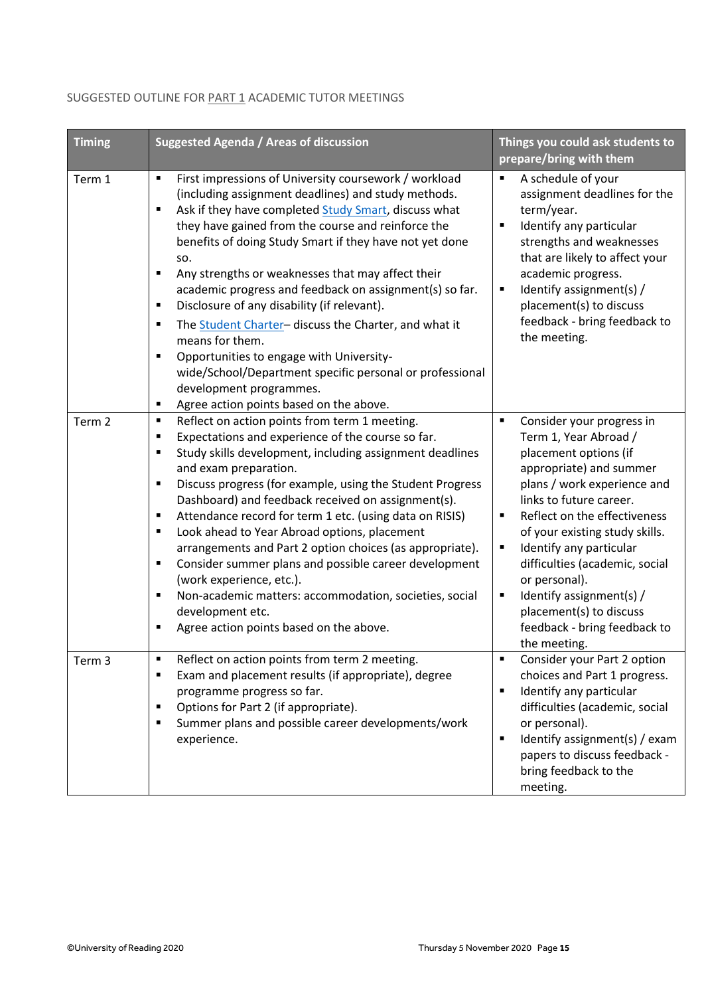| <b>Timing</b>     | <b>Suggested Agenda / Areas of discussion</b>                                                                                                                                                                                                                                                                                                                                                                                                                                                                                                                                                                                                                                                                                                             | Things you could ask students to<br>prepare/bring with them                                                                                                                                                                                                                                                                                                                                                                                              |
|-------------------|-----------------------------------------------------------------------------------------------------------------------------------------------------------------------------------------------------------------------------------------------------------------------------------------------------------------------------------------------------------------------------------------------------------------------------------------------------------------------------------------------------------------------------------------------------------------------------------------------------------------------------------------------------------------------------------------------------------------------------------------------------------|----------------------------------------------------------------------------------------------------------------------------------------------------------------------------------------------------------------------------------------------------------------------------------------------------------------------------------------------------------------------------------------------------------------------------------------------------------|
| Term 1            | First impressions of University coursework / workload<br>٠<br>(including assignment deadlines) and study methods.<br>Ask if they have completed Study Smart, discuss what<br>٠<br>they have gained from the course and reinforce the<br>benefits of doing Study Smart if they have not yet done<br>SO.<br>Any strengths or weaknesses that may affect their<br>٠<br>academic progress and feedback on assignment(s) so far.<br>Disclosure of any disability (if relevant).<br>п<br>The Student Charter- discuss the Charter, and what it<br>п<br>means for them.<br>Opportunities to engage with University-<br>٠<br>wide/School/Department specific personal or professional<br>development programmes.<br>Agree action points based on the above.<br>٠  | A schedule of your<br>assignment deadlines for the<br>term/year.<br>Identify any particular<br>٠<br>strengths and weaknesses<br>that are likely to affect your<br>academic progress.<br>Identify assignment(s) /<br>٠<br>placement(s) to discuss<br>feedback - bring feedback to<br>the meeting.                                                                                                                                                         |
| Term <sub>2</sub> | Reflect on action points from term 1 meeting.<br>٠<br>Expectations and experience of the course so far.<br>п<br>Study skills development, including assignment deadlines<br>٠<br>and exam preparation.<br>Discuss progress (for example, using the Student Progress<br>٠<br>Dashboard) and feedback received on assignment(s).<br>Attendance record for term 1 etc. (using data on RISIS)<br>٠<br>Look ahead to Year Abroad options, placement<br>п<br>arrangements and Part 2 option choices (as appropriate).<br>Consider summer plans and possible career development<br>п<br>(work experience, etc.).<br>Non-academic matters: accommodation, societies, social<br>$\blacksquare$<br>development etc.<br>Agree action points based on the above.<br>٠ | Consider your progress in<br>٠<br>Term 1, Year Abroad /<br>placement options (if<br>appropriate) and summer<br>plans / work experience and<br>links to future career.<br>Reflect on the effectiveness<br>$\blacksquare$<br>of your existing study skills.<br>Identify any particular<br>п<br>difficulties (academic, social<br>or personal).<br>Identify assignment(s) /<br>٠<br>placement(s) to discuss<br>feedback - bring feedback to<br>the meeting. |
| Term 3            | Reflect on action points from term 2 meeting.<br>$\blacksquare$<br>Exam and placement results (if appropriate), degree<br>$\blacksquare$<br>programme progress so far.<br>Options for Part 2 (if appropriate).<br>$\blacksquare$<br>Summer plans and possible career developments/work<br>п<br>experience.                                                                                                                                                                                                                                                                                                                                                                                                                                                | Consider your Part 2 option<br>$\blacksquare$<br>choices and Part 1 progress.<br>Identify any particular<br>٠<br>difficulties (academic, social<br>or personal).<br>Identify assignment(s) / exam<br>٠<br>papers to discuss feedback -<br>bring feedback to the<br>meeting.                                                                                                                                                                              |

## SUGGESTED OUTLINE FOR **PART 1** ACADEMIC TUTOR MEETINGS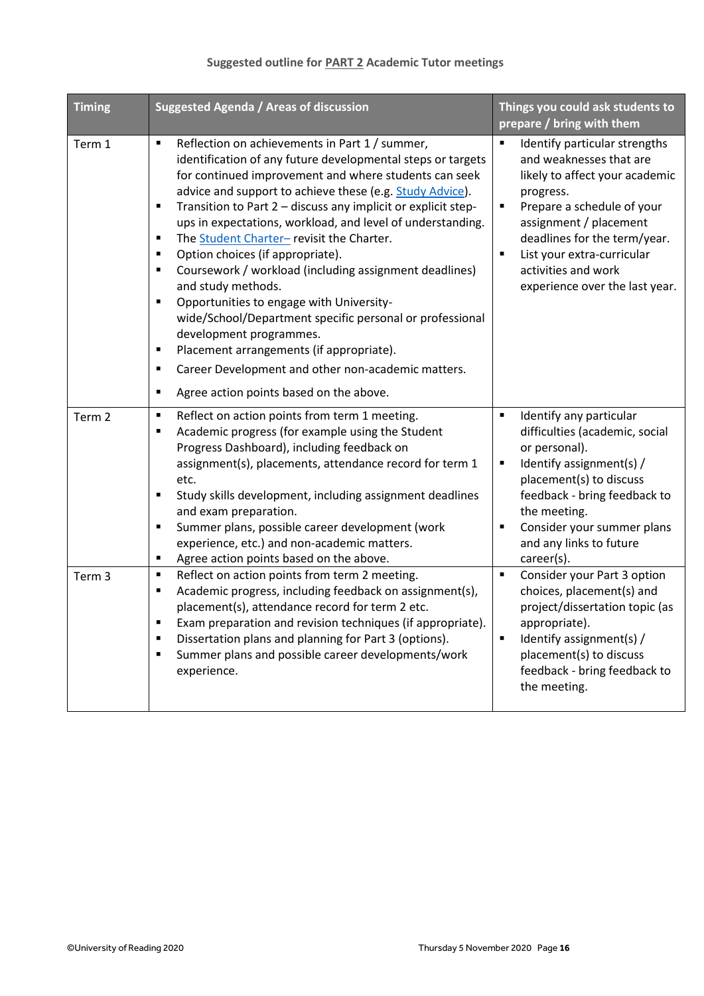## **Suggested outline for PART 2 Academic Tutor meetings**

| <b>Timing</b>     | <b>Suggested Agenda / Areas of discussion</b>                                                                                                                                                                                                                                                                                                                                                                                                                                                                                                                                                                                                                                                                                                                                                                                                                   | Things you could ask students to<br>prepare / bring with them                                                                                                                                                                                                                                         |
|-------------------|-----------------------------------------------------------------------------------------------------------------------------------------------------------------------------------------------------------------------------------------------------------------------------------------------------------------------------------------------------------------------------------------------------------------------------------------------------------------------------------------------------------------------------------------------------------------------------------------------------------------------------------------------------------------------------------------------------------------------------------------------------------------------------------------------------------------------------------------------------------------|-------------------------------------------------------------------------------------------------------------------------------------------------------------------------------------------------------------------------------------------------------------------------------------------------------|
| Term 1            | Reflection on achievements in Part 1 / summer,<br>٠<br>identification of any future developmental steps or targets<br>for continued improvement and where students can seek<br>advice and support to achieve these (e.g. Study Advice).<br>Transition to Part 2 - discuss any implicit or explicit step-<br>٠<br>ups in expectations, workload, and level of understanding.<br>The Student Charter- revisit the Charter.<br>٠<br>Option choices (if appropriate).<br>٠<br>Coursework / workload (including assignment deadlines)<br>٠<br>and study methods.<br>Opportunities to engage with University-<br>٠<br>wide/School/Department specific personal or professional<br>development programmes.<br>Placement arrangements (if appropriate).<br>٠<br>Career Development and other non-academic matters.<br>٠<br>Agree action points based on the above.<br>٠ | Identify particular strengths<br>П<br>and weaknesses that are<br>likely to affect your academic<br>progress.<br>Prepare a schedule of your<br>п<br>assignment / placement<br>deadlines for the term/year.<br>List your extra-curricular<br>п<br>activities and work<br>experience over the last year. |
| Term <sub>2</sub> | Reflect on action points from term 1 meeting.<br>٠<br>Academic progress (for example using the Student<br>٠<br>Progress Dashboard), including feedback on<br>assignment(s), placements, attendance record for term 1<br>etc.<br>Study skills development, including assignment deadlines<br>٠<br>and exam preparation.<br>Summer plans, possible career development (work<br>٠<br>experience, etc.) and non-academic matters.<br>Agree action points based on the above.<br>٠                                                                                                                                                                                                                                                                                                                                                                                   | Identify any particular<br>$\blacksquare$<br>difficulties (academic, social<br>or personal).<br>Identify assignment(s) /<br>$\blacksquare$<br>placement(s) to discuss<br>feedback - bring feedback to<br>the meeting.<br>Consider your summer plans<br>П<br>and any links to future<br>career(s).     |
| Term 3            | Reflect on action points from term 2 meeting.<br>$\blacksquare$<br>Academic progress, including feedback on assignment(s),<br>٠<br>placement(s), attendance record for term 2 etc.<br>Exam preparation and revision techniques (if appropriate).<br>Dissertation plans and planning for Part 3 (options).<br>٠<br>Summer plans and possible career developments/work<br>٠<br>experience.                                                                                                                                                                                                                                                                                                                                                                                                                                                                        | Consider your Part 3 option<br>٠<br>choices, placement(s) and<br>project/dissertation topic (as<br>appropriate).<br>Identify assignment(s) /<br>$\blacksquare$<br>placement(s) to discuss<br>feedback - bring feedback to<br>the meeting.                                                             |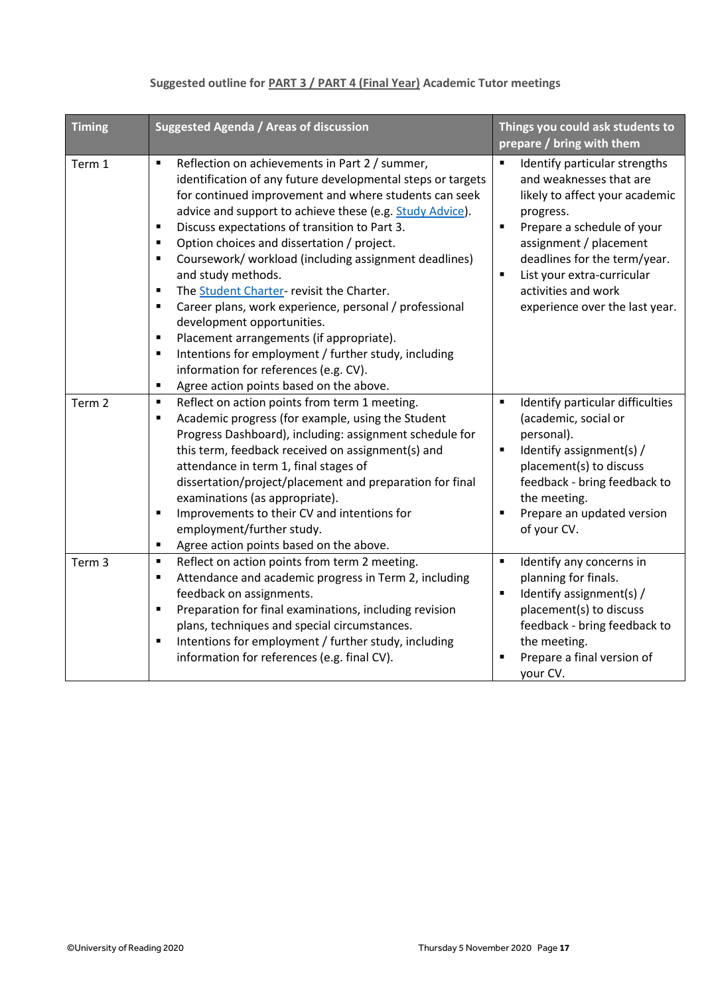| <b>Timing</b>     | <b>Suggested Agenda / Areas of discussion</b>                                                                                                                                                                                                                                                                                                                                                                                                                                                                                                                                                                                                                                                                                                                                                                                                                                                      | Things you could ask students to                                                                                                                                                                                                                                                                              |  |
|-------------------|----------------------------------------------------------------------------------------------------------------------------------------------------------------------------------------------------------------------------------------------------------------------------------------------------------------------------------------------------------------------------------------------------------------------------------------------------------------------------------------------------------------------------------------------------------------------------------------------------------------------------------------------------------------------------------------------------------------------------------------------------------------------------------------------------------------------------------------------------------------------------------------------------|---------------------------------------------------------------------------------------------------------------------------------------------------------------------------------------------------------------------------------------------------------------------------------------------------------------|--|
|                   |                                                                                                                                                                                                                                                                                                                                                                                                                                                                                                                                                                                                                                                                                                                                                                                                                                                                                                    | prepare / bring with them                                                                                                                                                                                                                                                                                     |  |
| Term 1            | Reflection on achievements in Part 2 / summer,<br>$\blacksquare$<br>identification of any future developmental steps or targets<br>for continued improvement and where students can seek<br>advice and support to achieve these (e.g. Study Advice).<br>Discuss expectations of transition to Part 3.<br>$\blacksquare$<br>Option choices and dissertation / project.<br>$\blacksquare$<br>Coursework/ workload (including assignment deadlines)<br>$\blacksquare$<br>and study methods.<br>$\blacksquare$<br>The Student Charter- revisit the Charter.<br>Career plans, work experience, personal / professional<br>$\blacksquare$<br>development opportunities.<br>Placement arrangements (if appropriate).<br>٠<br>Intentions for employment / further study, including<br>$\blacksquare$<br>information for references (e.g. CV).<br>Agree action points based on the above.<br>$\blacksquare$ | Identify particular strengths<br>and weaknesses that are<br>likely to affect your academic<br>progress.<br>$\blacksquare$<br>Prepare a schedule of your<br>assignment / placement<br>deadlines for the term/year.<br>List your extra-curricular<br>п<br>activities and work<br>experience over the last year. |  |
| Term <sub>2</sub> | Reflect on action points from term 1 meeting.<br>$\blacksquare$<br>Academic progress (for example, using the Student<br>$\blacksquare$<br>Progress Dashboard), including: assignment schedule for<br>this term, feedback received on assignment(s) and<br>attendance in term 1, final stages of<br>dissertation/project/placement and preparation for final<br>examinations (as appropriate).<br>Improvements to their CV and intentions for<br>$\blacksquare$<br>employment/further study.<br>Agree action points based on the above.<br>$\blacksquare$                                                                                                                                                                                                                                                                                                                                           | Identify particular difficulties<br>$\blacksquare$<br>(academic, social or<br>personal).<br>Identify assignment(s) /<br>$\blacksquare$<br>placement(s) to discuss<br>feedback - bring feedback to<br>the meeting.<br>Prepare an updated version<br>٠<br>of your CV.                                           |  |
| Term <sub>3</sub> | Reflect on action points from term 2 meeting.<br>$\blacksquare$<br>Attendance and academic progress in Term 2, including<br>$\blacksquare$<br>feedback on assignments.<br>Preparation for final examinations, including revision<br>$\blacksquare$<br>plans, techniques and special circumstances.<br>Intentions for employment / further study, including<br>$\blacksquare$<br>information for references (e.g. final CV).                                                                                                                                                                                                                                                                                                                                                                                                                                                                        | Identify any concerns in<br>П<br>planning for finals.<br>Identify assignment(s) /<br>$\blacksquare$<br>placement(s) to discuss<br>feedback - bring feedback to<br>the meeting.<br>Prepare a final version of<br>your CV.                                                                                      |  |

## **Suggested outline for PART 3 / PART 4 (Final Year) Academic Tutor meetings**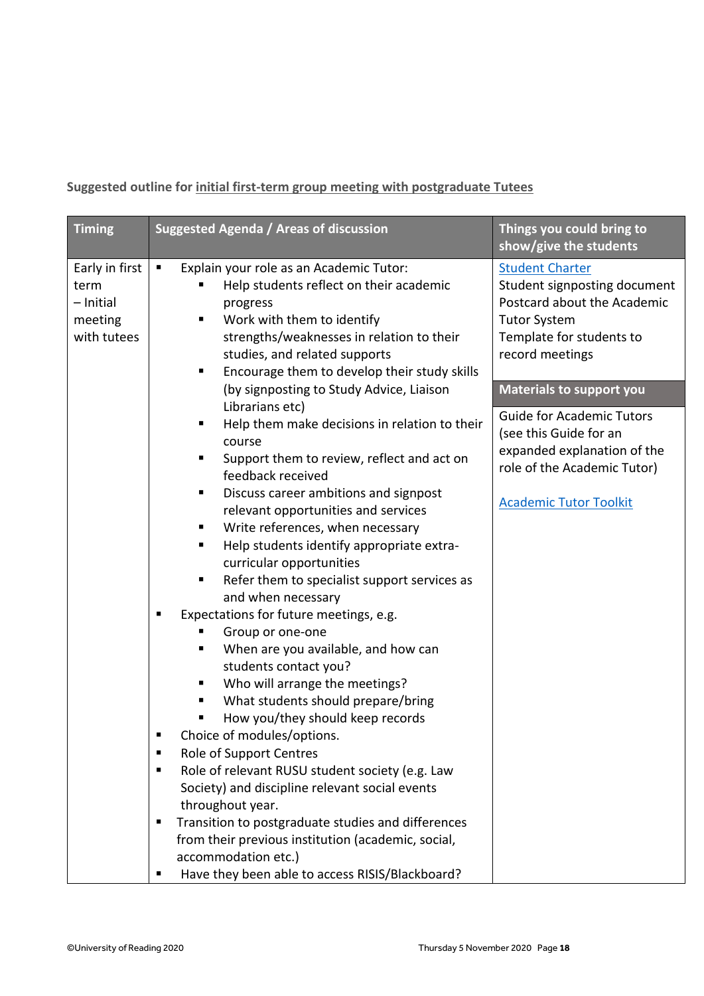**Suggested outline for initial first-term group meeting with postgraduate Tutees**

| <b>Timing</b>                                                 | Suggested Agenda / Areas of discussion                                                                                                                                                                                                                                                                                                                                                                                                                                                                                                                                                                                                                                                                                                                                                                                                                                                                                                                                                                                                                                                         | Things you could bring to<br>show/give the students                                                                                                                                            |
|---------------------------------------------------------------|------------------------------------------------------------------------------------------------------------------------------------------------------------------------------------------------------------------------------------------------------------------------------------------------------------------------------------------------------------------------------------------------------------------------------------------------------------------------------------------------------------------------------------------------------------------------------------------------------------------------------------------------------------------------------------------------------------------------------------------------------------------------------------------------------------------------------------------------------------------------------------------------------------------------------------------------------------------------------------------------------------------------------------------------------------------------------------------------|------------------------------------------------------------------------------------------------------------------------------------------------------------------------------------------------|
| Early in first<br>term<br>- Initial<br>meeting<br>with tutees | Explain your role as an Academic Tutor:<br>$\blacksquare$<br>Help students reflect on their academic<br>progress<br>Work with them to identify<br>strengths/weaknesses in relation to their<br>studies, and related supports<br>Encourage them to develop their study skills<br>п<br>(by signposting to Study Advice, Liaison                                                                                                                                                                                                                                                                                                                                                                                                                                                                                                                                                                                                                                                                                                                                                                  | <b>Student Charter</b><br>Student signposting document<br>Postcard about the Academic<br><b>Tutor System</b><br>Template for students to<br>record meetings<br><b>Materials to support you</b> |
|                                                               | Librarians etc)<br>Help them make decisions in relation to their<br>Ξ<br>course<br>Support them to review, reflect and act on<br>feedback received<br>Discuss career ambitions and signpost<br>٠<br>relevant opportunities and services<br>Write references, when necessary<br>п<br>Help students identify appropriate extra-<br>п<br>curricular opportunities<br>Refer them to specialist support services as<br>Ξ<br>and when necessary<br>Expectations for future meetings, e.g.<br>п<br>Group or one-one<br>When are you available, and how can<br>п<br>students contact you?<br>Who will arrange the meetings?<br>п<br>What students should prepare/bring<br>How you/they should keep records<br>Choice of modules/options.<br>Role of Support Centres<br>п<br>Role of relevant RUSU student society (e.g. Law<br>٠<br>Society) and discipline relevant social events<br>throughout year.<br>Transition to postgraduate studies and differences<br>п<br>from their previous institution (academic, social,<br>accommodation etc.)<br>Have they been able to access RISIS/Blackboard?<br>п | <b>Guide for Academic Tutors</b><br>(see this Guide for an<br>expanded explanation of the<br>role of the Academic Tutor)<br><b>Academic Tutor Toolkit</b>                                      |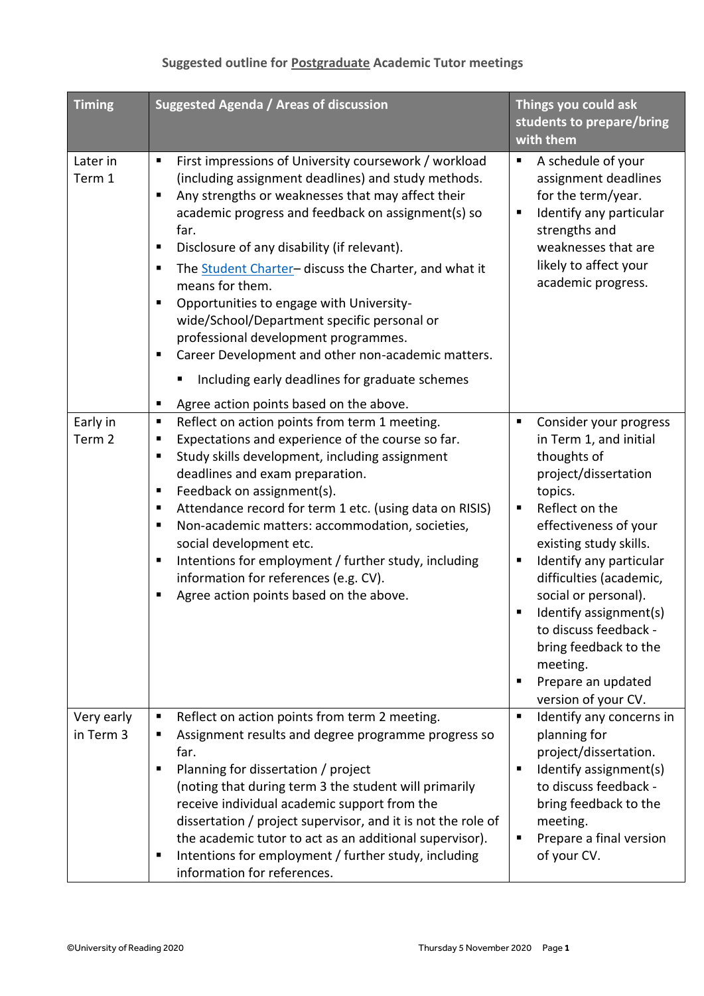## **Suggested outline for Postgraduate Academic Tutor meetings**

| <b>Timing</b>           | Suggested Agenda / Areas of discussion                                                                                                                                                                                                                                                                                                                                                                                                                                                                                                                                                                                                                                         | Things you could ask<br>students to prepare/bring<br>with them                                                                                                                                                                                                                                                                                                                                                      |
|-------------------------|--------------------------------------------------------------------------------------------------------------------------------------------------------------------------------------------------------------------------------------------------------------------------------------------------------------------------------------------------------------------------------------------------------------------------------------------------------------------------------------------------------------------------------------------------------------------------------------------------------------------------------------------------------------------------------|---------------------------------------------------------------------------------------------------------------------------------------------------------------------------------------------------------------------------------------------------------------------------------------------------------------------------------------------------------------------------------------------------------------------|
| Later in<br>Term 1      | First impressions of University coursework / workload<br>п<br>(including assignment deadlines) and study methods.<br>Any strengths or weaknesses that may affect their<br>academic progress and feedback on assignment(s) so<br>far.<br>Disclosure of any disability (if relevant).<br>п<br>The Student Charter- discuss the Charter, and what it<br>п<br>means for them.<br>Opportunities to engage with University-<br>п<br>wide/School/Department specific personal or<br>professional development programmes.<br>Career Development and other non-academic matters.<br>п<br>Including early deadlines for graduate schemes<br>Agree action points based on the above.<br>п | A schedule of your<br>٠<br>assignment deadlines<br>for the term/year.<br>Identify any particular<br>п<br>strengths and<br>weaknesses that are<br>likely to affect your<br>academic progress.                                                                                                                                                                                                                        |
| Early in<br>Term 2      | Reflect on action points from term 1 meeting.<br>п<br>Expectations and experience of the course so far.<br>п<br>Study skills development, including assignment<br>п<br>deadlines and exam preparation.<br>Feedback on assignment(s).<br>п<br>Attendance record for term 1 etc. (using data on RISIS)<br>п<br>Non-academic matters: accommodation, societies,<br>Е<br>social development etc.<br>Intentions for employment / further study, including<br>п<br>information for references (e.g. CV).<br>Agree action points based on the above.                                                                                                                                  | Consider your progress<br>п<br>in Term 1, and initial<br>thoughts of<br>project/dissertation<br>topics.<br>Reflect on the<br>٠<br>effectiveness of your<br>existing study skills.<br>Identify any particular<br>п<br>difficulties (academic,<br>social or personal).<br>Identify assignment(s)<br>п<br>to discuss feedback -<br>bring feedback to the<br>meeting.<br>Prepare an updated<br>٠<br>version of your CV. |
| Very early<br>in Term 3 | Reflect on action points from term 2 meeting.<br>п<br>Assignment results and degree programme progress so<br>п<br>far.<br>Planning for dissertation / project<br>п<br>(noting that during term 3 the student will primarily<br>receive individual academic support from the<br>dissertation / project supervisor, and it is not the role of<br>the academic tutor to act as an additional supervisor).<br>Intentions for employment / further study, including<br>п<br>information for references.                                                                                                                                                                             | Identify any concerns in<br>п<br>planning for<br>project/dissertation.<br>Identify assignment(s)<br>٠<br>to discuss feedback -<br>bring feedback to the<br>meeting.<br>Prepare a final version<br>п<br>of your CV.                                                                                                                                                                                                  |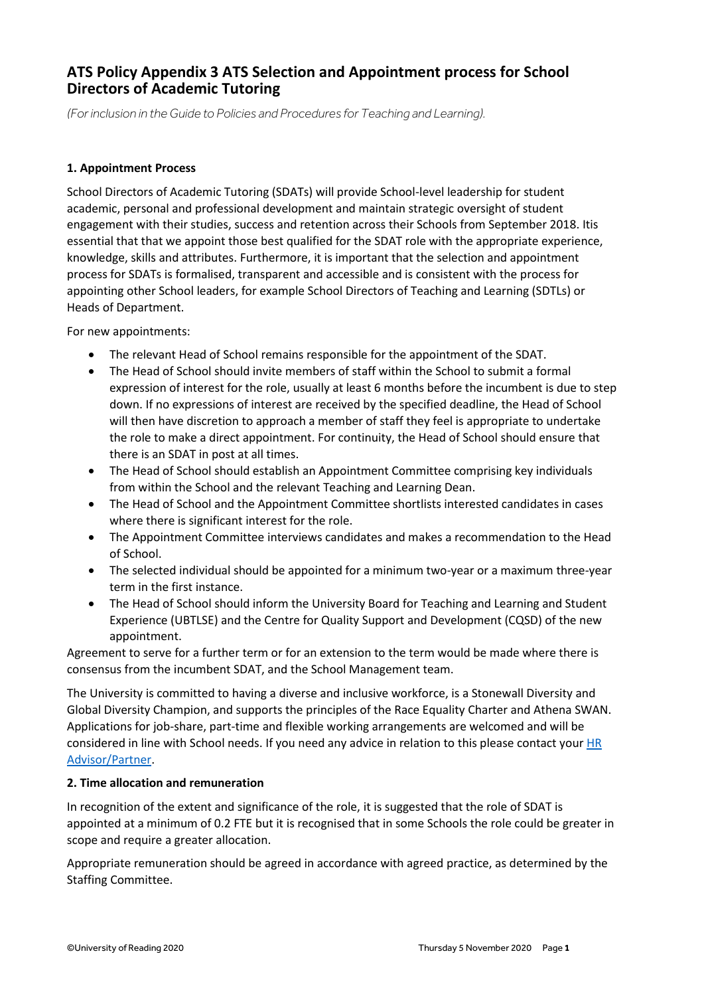## **ATS Policy Appendix 3 ATS Selection and Appointment process for School Directors of Academic Tutoring**

*(For inclusion in the Guide to Policies and Procedures for Teaching and Learning).*

#### **1. Appointment Process**

School Directors of Academic Tutoring (SDATs) will provide School-level leadership for student academic, personal and professional development and maintain strategic oversight of student engagement with their studies, success and retention across their Schools from September 2018. Itis essential that that we appoint those best qualified for the SDAT role with the appropriate experience, knowledge, skills and attributes. Furthermore, it is important that the selection and appointment process for SDATs is formalised, transparent and accessible and is consistent with the process for appointing other School leaders, for example School Directors of Teaching and Learning (SDTLs) or Heads of Department.

For new appointments:

- The relevant Head of School remains responsible for the appointment of the SDAT.
- The Head of School should invite members of staff within the School to submit a formal expression of interest for the role, usually at least 6 months before the incumbent is due to step down. If no expressions of interest are received by the specified deadline, the Head of School will then have discretion to approach a member of staff they feel is appropriate to undertake the role to make a direct appointment. For continuity, the Head of School should ensure that there is an SDAT in post at all times.
- The Head of School should establish an Appointment Committee comprising key individuals from within the School and the relevant Teaching and Learning Dean.
- The Head of School and the Appointment Committee shortlists interested candidates in cases where there is significant interest for the role.
- The Appointment Committee interviews candidates and makes a recommendation to the Head of School.
- The selected individual should be appointed for a minimum two-year or a maximum three-year term in the first instance.
- The Head of School should inform the University Board for Teaching and Learning and Student Experience (UBTLSE) and the Centre for Quality Support and Development (CQSD) of the new appointment.

Agreement to serve for a further term or for an extension to the term would be made where there is consensus from the incumbent SDAT, and the School Management team.

The University is committed to having a diverse and inclusive workforce, is a Stonewall Diversity and Global Diversity Champion, and supports the principles of the Race Equality Charter and Athena SWAN. Applications for job-share, part-time and flexible working arrangements are welcomed and will be considered in line with School needs. If you need any advice in relation to this please contact your [HR](http://www.reading.ac.uk/internal/humanresources/aboutus/humres-professionalandadvisory.aspx)  [Advisor/Partner.](http://www.reading.ac.uk/internal/humanresources/aboutus/humres-professionalandadvisory.aspx)

#### **2. Time allocation and remuneration**

In recognition of the extent and significance of the role, it is suggested that the role of SDAT is appointed at a minimum of 0.2 FTE but it is recognised that in some Schools the role could be greater in scope and require a greater allocation.

Appropriate remuneration should be agreed in accordance with agreed practice, as determined by the Staffing Committee.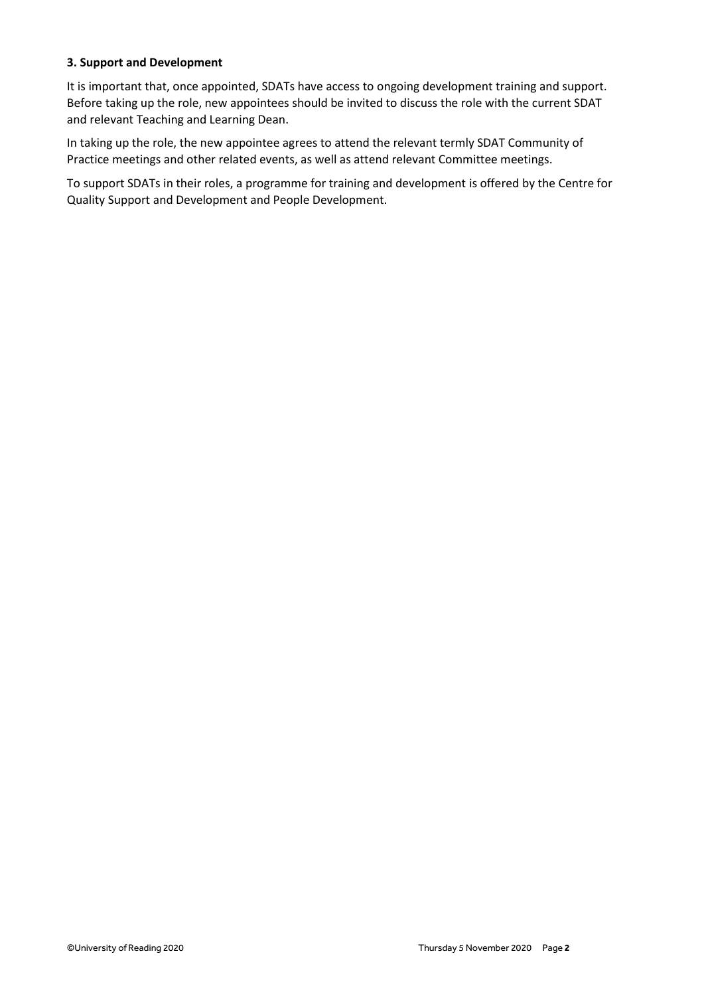#### **3. Support and Development**

It is important that, once appointed, SDATs have access to ongoing development training and support. Before taking up the role, new appointees should be invited to discuss the role with the current SDAT and relevant Teaching and Learning Dean.

In taking up the role, the new appointee agrees to attend the relevant termly SDAT Community of Practice meetings and other related events, as well as attend relevant Committee meetings.

To support SDATs in their roles, a programme for training and development is offered by the Centre for Quality Support and Development and People Development.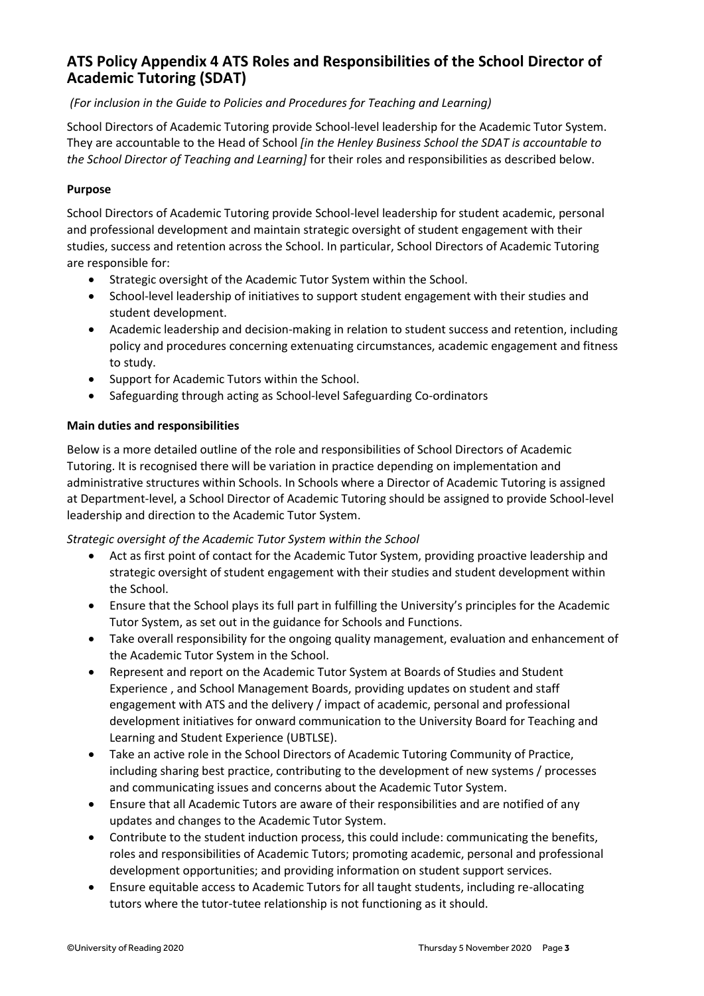## **ATS Policy Appendix 4 ATS Roles and Responsibilities of the School Director of Academic Tutoring (SDAT)**

#### *(For inclusion in the Guide to Policies and Procedures for Teaching and Learning)*

School Directors of Academic Tutoring provide School-level leadership for the Academic Tutor System. They are accountable to the Head of School *[in the Henley Business School the SDAT is accountable to the School Director of Teaching and Learning]* for their roles and responsibilities as described below.

#### **Purpose**

School Directors of Academic Tutoring provide School-level leadership for student academic, personal and professional development and maintain strategic oversight of student engagement with their studies, success and retention across the School. In particular, School Directors of Academic Tutoring are responsible for:

- Strategic oversight of the Academic Tutor System within the School.
- School-level leadership of initiatives to support student engagement with their studies and student development.
- Academic leadership and decision-making in relation to student success and retention, including policy and procedures concerning extenuating circumstances, academic engagement and fitness to study.
- Support for Academic Tutors within the School.
- Safeguarding through acting as School-level Safeguarding Co-ordinators

#### **Main duties and responsibilities**

Below is a more detailed outline of the role and responsibilities of School Directors of Academic Tutoring. It is recognised there will be variation in practice depending on implementation and administrative structures within Schools. In Schools where a Director of Academic Tutoring is assigned at Department-level, a School Director of Academic Tutoring should be assigned to provide School-level leadership and direction to the Academic Tutor System.

*Strategic oversight of the Academic Tutor System within the School*

- Act as first point of contact for the Academic Tutor System, providing proactive leadership and strategic oversight of student engagement with their studies and student development within the School.
- Ensure that the School plays its full part in fulfilling the University's principles for the Academic Tutor System, as set out in the guidance for Schools and Functions.
- Take overall responsibility for the ongoing quality management, evaluation and enhancement of the Academic Tutor System in the School.
- Represent and report on the Academic Tutor System at Boards of Studies and Student Experience , and School Management Boards, providing updates on student and staff engagement with ATS and the delivery / impact of academic, personal and professional development initiatives for onward communication to the University Board for Teaching and Learning and Student Experience (UBTLSE).
- Take an active role in the School Directors of Academic Tutoring Community of Practice, including sharing best practice, contributing to the development of new systems / processes and communicating issues and concerns about the Academic Tutor System.
- Ensure that all Academic Tutors are aware of their responsibilities and are notified of any updates and changes to the Academic Tutor System.
- Contribute to the student induction process, this could include: communicating the benefits, roles and responsibilities of Academic Tutors; promoting academic, personal and professional development opportunities; and providing information on student support services.
- Ensure equitable access to Academic Tutors for all taught students, including re-allocating tutors where the tutor-tutee relationship is not functioning as it should.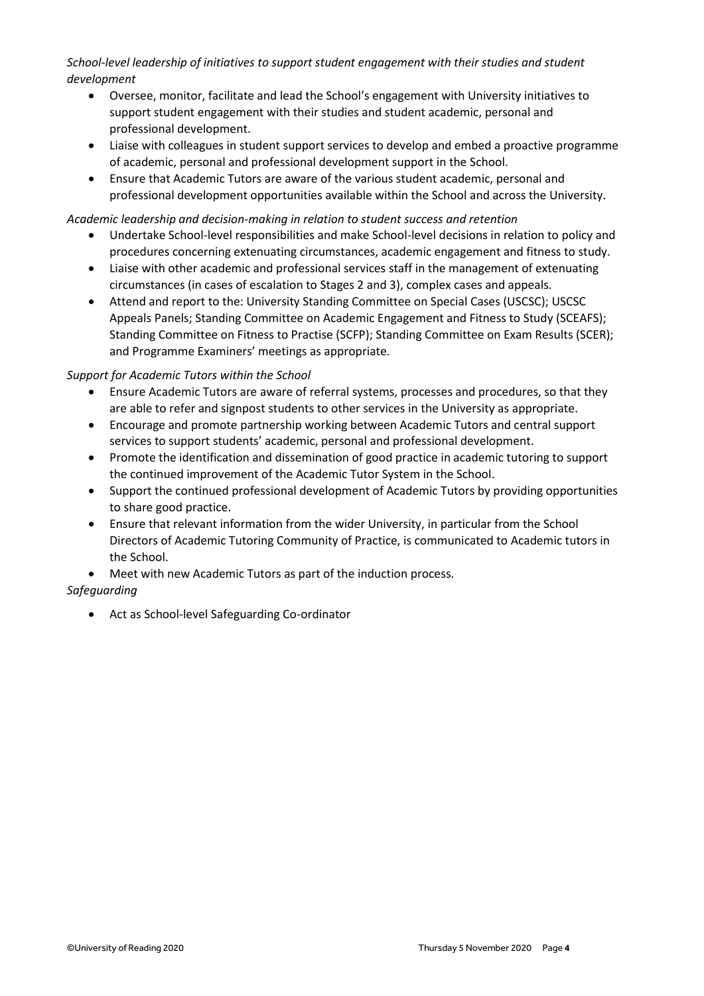*School-level leadership of initiatives to support student engagement with their studies and student development*

- Oversee, monitor, facilitate and lead the School's engagement with University initiatives to support student engagement with their studies and student academic, personal and professional development.
- Liaise with colleagues in student support services to develop and embed a proactive programme of academic, personal and professional development support in the School.
- Ensure that Academic Tutors are aware of the various student academic, personal and professional development opportunities available within the School and across the University.

#### *Academic leadership and decision-making in relation to student success and retention*

- Undertake School-level responsibilities and make School-level decisions in relation to policy and procedures concerning extenuating circumstances, academic engagement and fitness to study.
- Liaise with other academic and professional services staff in the management of extenuating circumstances (in cases of escalation to Stages 2 and 3), complex cases and appeals.
- Attend and report to the: University Standing Committee on Special Cases (USCSC); USCSC Appeals Panels; Standing Committee on Academic Engagement and Fitness to Study (SCEAFS); Standing Committee on Fitness to Practise (SCFP); Standing Committee on Exam Results (SCER); and Programme Examiners' meetings as appropriate.

#### *Support for Academic Tutors within the School*

- Ensure Academic Tutors are aware of referral systems, processes and procedures, so that they are able to refer and signpost students to other services in the University as appropriate.
- Encourage and promote partnership working between Academic Tutors and central support services to support students' academic, personal and professional development.
- Promote the identification and dissemination of good practice in academic tutoring to support the continued improvement of the Academic Tutor System in the School.
- Support the continued professional development of Academic Tutors by providing opportunities to share good practice.
- Ensure that relevant information from the wider University, in particular from the School Directors of Academic Tutoring Community of Practice, is communicated to Academic tutors in the School.
- Meet with new Academic Tutors as part of the induction process.

#### *Safeguarding*

• Act as School-level Safeguarding Co-ordinator